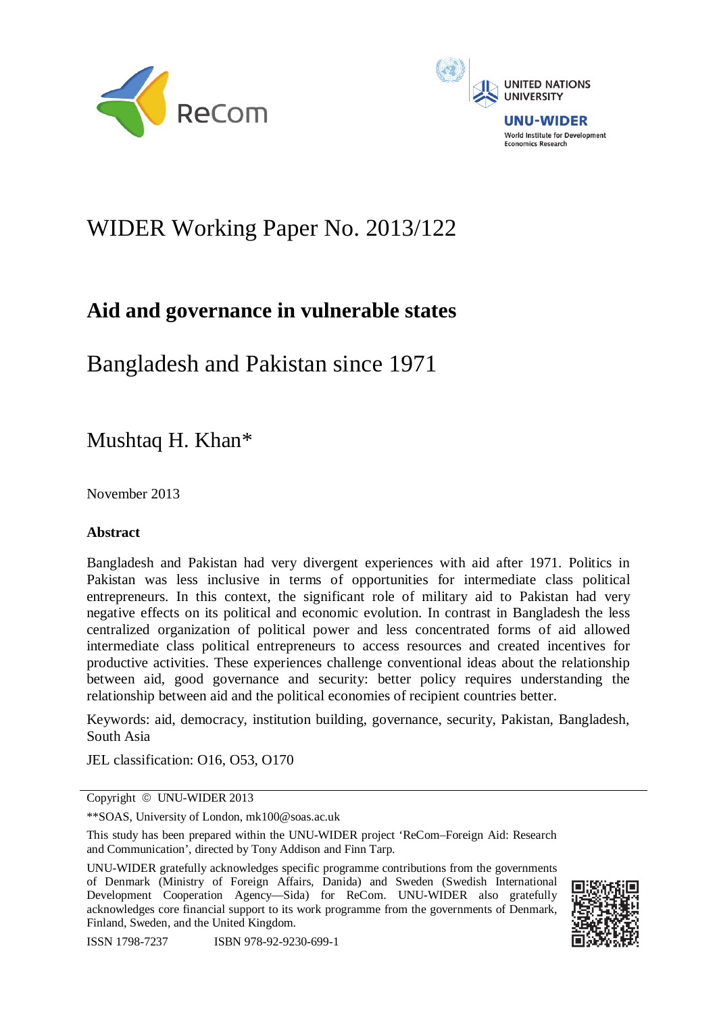



# WIDER Working Paper No. 2013/122

# **Aid and governance in vulnerable states**

Bangladesh and Pakistan since 1971

Mushtaq H. Khan\*

November 2013

# **Abstract**

Bangladesh and Pakistan had very divergent experiences with aid after 1971. Politics in Pakistan was less inclusive in terms of opportunities for intermediate class political entrepreneurs. In this context, the significant role of military aid to Pakistan had very negative effects on its political and economic evolution. In contrast in Bangladesh the less centralized organization of political power and less concentrated forms of aid allowed intermediate class political entrepreneurs to access resources and created incentives for productive activities. These experiences challenge conventional ideas about the relationship between aid, good governance and security: better policy requires understanding the relationship between aid and the political economies of recipient countries better.

Keywords: aid, democracy, institution building, governance, security, Pakistan, Bangladesh, South Asia

JEL classification: O16, O53, O170

Copyright © UNU-WIDER 2013

\*\*SOAS, University of London, mk100@soas.ac.uk

This study has been prepared within the UNU-WIDER project 'ReCom–Foreign Aid: Research and Communication', directed by Tony Addison and Finn Tarp.

UNU-WIDER gratefully acknowledges specific programme contributions from the governments of Denmark (Ministry of Foreign Affairs, Danida) and Sweden (Swedish International Development Cooperation Agency—Sida) for ReCom. UNU-WIDER also gratefully acknowledges core financial support to its work programme from the governments of Denmark, Finland, Sweden, and the United Kingdom.

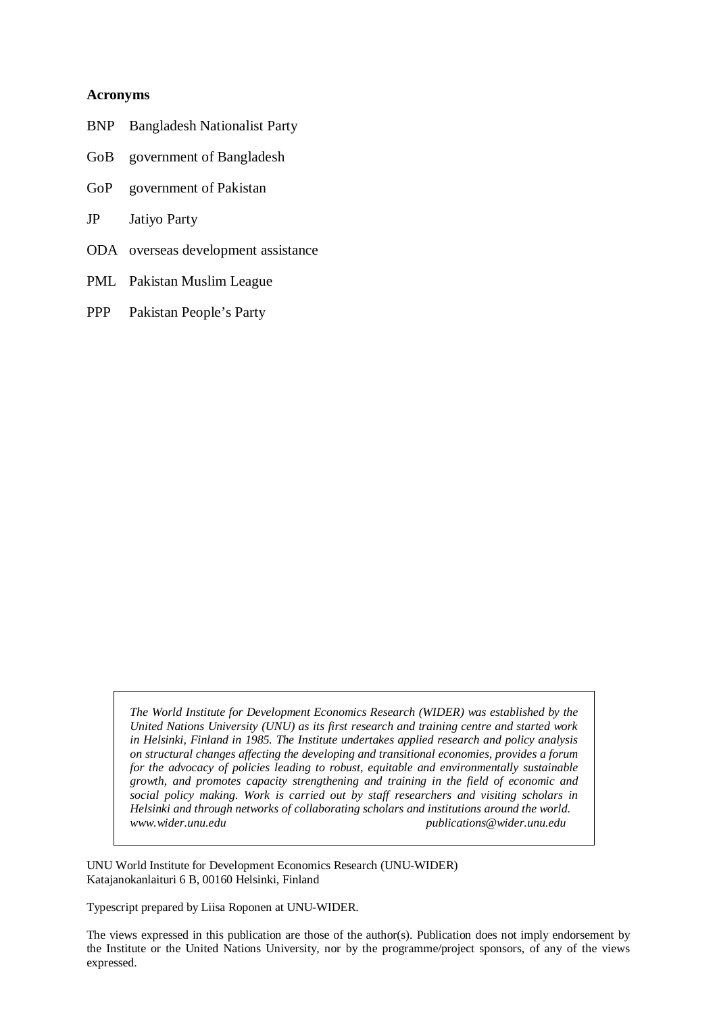### **Acronyms**

- BNP Bangladesh Nationalist Party
- GoB government of Bangladesh
- GoP government of Pakistan
- JP Jatiyo Party
- ODA overseas development assistance
- PML Pakistan Muslim League
- PPP Pakistan People's Party

*The World Institute for Development Economics Research (WIDER) was established by the United Nations University (UNU) as its first research and training centre and started work in Helsinki, Finland in 1985. The Institute undertakes applied research and policy analysis on structural changes affecting the developing and transitional economies, provides a forum for the advocacy of policies leading to robust, equitable and environmentally sustainable growth, and promotes capacity strengthening and training in the field of economic and social policy making. Work is carried out by staff researchers and visiting scholars in Helsinki and through networks of collaborating scholars and institutions around the world. www.wider.unu.edu publications@wider.unu.edu* 

UNU World Institute for Development Economics Research (UNU-WIDER) Katajanokanlaituri 6 B, 00160 Helsinki, Finland

Typescript prepared by Liisa Roponen at UNU-WIDER.

The views expressed in this publication are those of the author(s). Publication does not imply endorsement by the Institute or the United Nations University, nor by the programme/project sponsors, of any of the views expressed.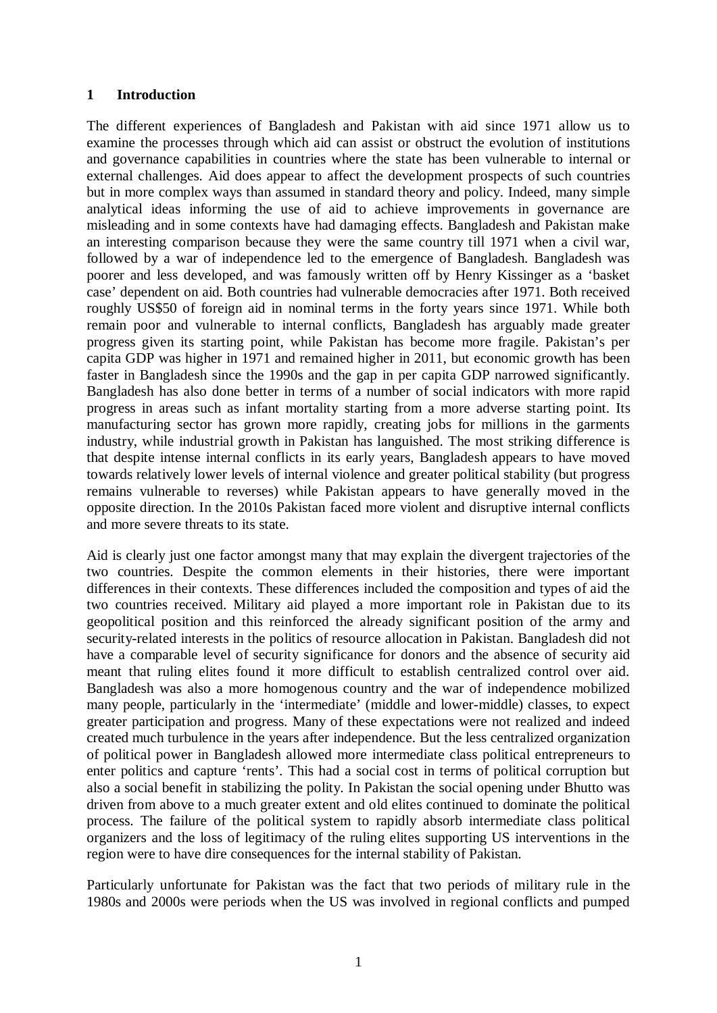## **1 Introduction**

The different experiences of Bangladesh and Pakistan with aid since 1971 allow us to examine the processes through which aid can assist or obstruct the evolution of institutions and governance capabilities in countries where the state has been vulnerable to internal or external challenges. Aid does appear to affect the development prospects of such countries but in more complex ways than assumed in standard theory and policy. Indeed, many simple analytical ideas informing the use of aid to achieve improvements in governance are misleading and in some contexts have had damaging effects. Bangladesh and Pakistan make an interesting comparison because they were the same country till 1971 when a civil war, followed by a war of independence led to the emergence of Bangladesh. Bangladesh was poorer and less developed, and was famously written off by Henry Kissinger as a 'basket case' dependent on aid. Both countries had vulnerable democracies after 1971. Both received roughly US\$50 of foreign aid in nominal terms in the forty years since 1971. While both remain poor and vulnerable to internal conflicts, Bangladesh has arguably made greater progress given its starting point, while Pakistan has become more fragile. Pakistan's per capita GDP was higher in 1971 and remained higher in 2011, but economic growth has been faster in Bangladesh since the 1990s and the gap in per capita GDP narrowed significantly. Bangladesh has also done better in terms of a number of social indicators with more rapid progress in areas such as infant mortality starting from a more adverse starting point. Its manufacturing sector has grown more rapidly, creating jobs for millions in the garments industry, while industrial growth in Pakistan has languished. The most striking difference is that despite intense internal conflicts in its early years, Bangladesh appears to have moved towards relatively lower levels of internal violence and greater political stability (but progress remains vulnerable to reverses) while Pakistan appears to have generally moved in the opposite direction. In the 2010s Pakistan faced more violent and disruptive internal conflicts and more severe threats to its state.

Aid is clearly just one factor amongst many that may explain the divergent trajectories of the two countries. Despite the common elements in their histories, there were important differences in their contexts. These differences included the composition and types of aid the two countries received. Military aid played a more important role in Pakistan due to its geopolitical position and this reinforced the already significant position of the army and security-related interests in the politics of resource allocation in Pakistan. Bangladesh did not have a comparable level of security significance for donors and the absence of security aid meant that ruling elites found it more difficult to establish centralized control over aid. Bangladesh was also a more homogenous country and the war of independence mobilized many people, particularly in the 'intermediate' (middle and lower-middle) classes, to expect greater participation and progress. Many of these expectations were not realized and indeed created much turbulence in the years after independence. But the less centralized organization of political power in Bangladesh allowed more intermediate class political entrepreneurs to enter politics and capture 'rents'. This had a social cost in terms of political corruption but also a social benefit in stabilizing the polity. In Pakistan the social opening under Bhutto was driven from above to a much greater extent and old elites continued to dominate the political process. The failure of the political system to rapidly absorb intermediate class political organizers and the loss of legitimacy of the ruling elites supporting US interventions in the region were to have dire consequences for the internal stability of Pakistan.

Particularly unfortunate for Pakistan was the fact that two periods of military rule in the 1980s and 2000s were periods when the US was involved in regional conflicts and pumped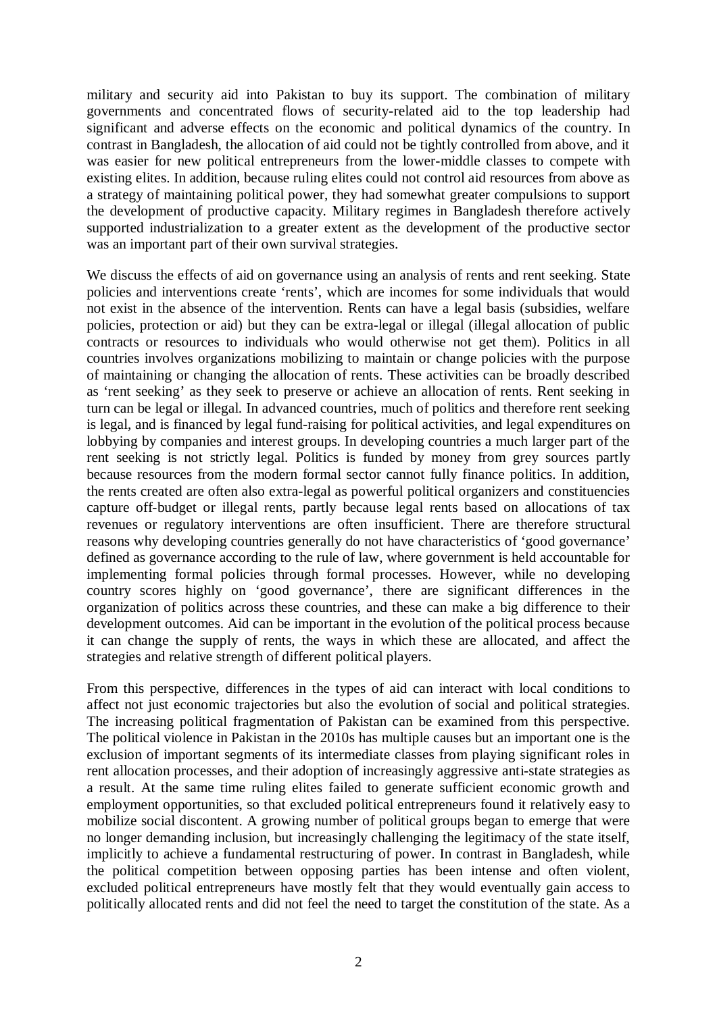military and security aid into Pakistan to buy its support. The combination of military governments and concentrated flows of security-related aid to the top leadership had significant and adverse effects on the economic and political dynamics of the country. In contrast in Bangladesh, the allocation of aid could not be tightly controlled from above, and it was easier for new political entrepreneurs from the lower-middle classes to compete with existing elites. In addition, because ruling elites could not control aid resources from above as a strategy of maintaining political power, they had somewhat greater compulsions to support the development of productive capacity. Military regimes in Bangladesh therefore actively supported industrialization to a greater extent as the development of the productive sector was an important part of their own survival strategies.

We discuss the effects of aid on governance using an analysis of rents and rent seeking. State policies and interventions create 'rents', which are incomes for some individuals that would not exist in the absence of the intervention. Rents can have a legal basis (subsidies, welfare policies, protection or aid) but they can be extra-legal or illegal (illegal allocation of public contracts or resources to individuals who would otherwise not get them). Politics in all countries involves organizations mobilizing to maintain or change policies with the purpose of maintaining or changing the allocation of rents. These activities can be broadly described as 'rent seeking' as they seek to preserve or achieve an allocation of rents. Rent seeking in turn can be legal or illegal. In advanced countries, much of politics and therefore rent seeking is legal, and is financed by legal fund-raising for political activities, and legal expenditures on lobbying by companies and interest groups. In developing countries a much larger part of the rent seeking is not strictly legal. Politics is funded by money from grey sources partly because resources from the modern formal sector cannot fully finance politics. In addition, the rents created are often also extra-legal as powerful political organizers and constituencies capture off-budget or illegal rents, partly because legal rents based on allocations of tax revenues or regulatory interventions are often insufficient. There are therefore structural reasons why developing countries generally do not have characteristics of 'good governance' defined as governance according to the rule of law, where government is held accountable for implementing formal policies through formal processes. However, while no developing country scores highly on 'good governance', there are significant differences in the organization of politics across these countries, and these can make a big difference to their development outcomes. Aid can be important in the evolution of the political process because it can change the supply of rents, the ways in which these are allocated, and affect the strategies and relative strength of different political players.

From this perspective, differences in the types of aid can interact with local conditions to affect not just economic trajectories but also the evolution of social and political strategies. The increasing political fragmentation of Pakistan can be examined from this perspective. The political violence in Pakistan in the 2010s has multiple causes but an important one is the exclusion of important segments of its intermediate classes from playing significant roles in rent allocation processes, and their adoption of increasingly aggressive anti-state strategies as a result. At the same time ruling elites failed to generate sufficient economic growth and employment opportunities, so that excluded political entrepreneurs found it relatively easy to mobilize social discontent. A growing number of political groups began to emerge that were no longer demanding inclusion, but increasingly challenging the legitimacy of the state itself, implicitly to achieve a fundamental restructuring of power. In contrast in Bangladesh, while the political competition between opposing parties has been intense and often violent, excluded political entrepreneurs have mostly felt that they would eventually gain access to politically allocated rents and did not feel the need to target the constitution of the state. As a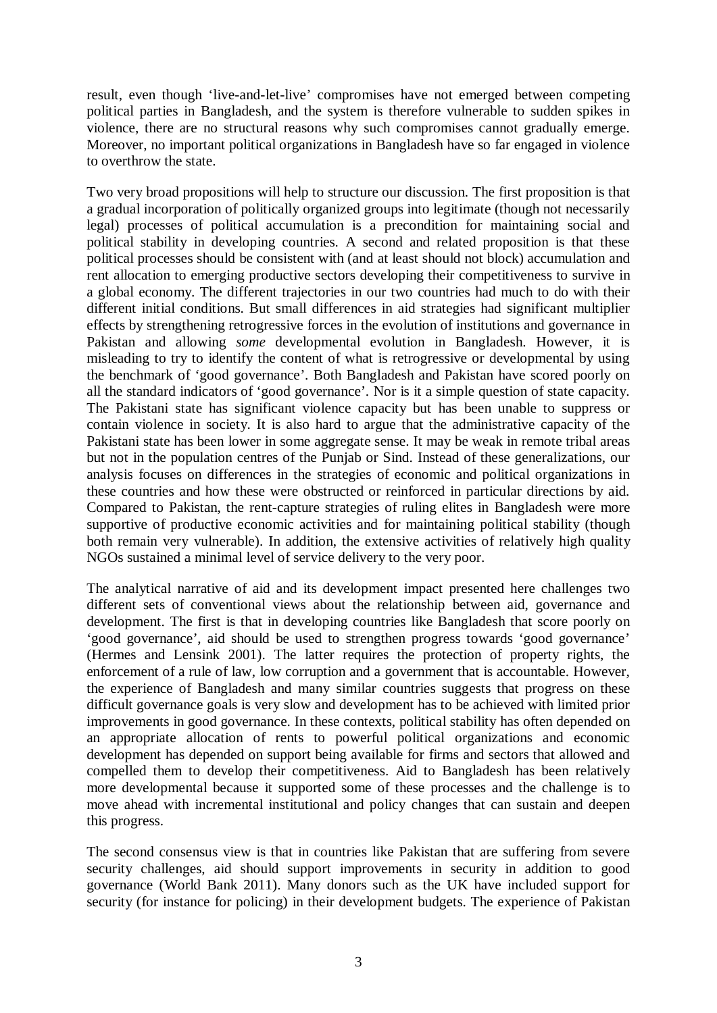result, even though 'live-and-let-live' compromises have not emerged between competing political parties in Bangladesh, and the system is therefore vulnerable to sudden spikes in violence, there are no structural reasons why such compromises cannot gradually emerge. Moreover, no important political organizations in Bangladesh have so far engaged in violence to overthrow the state.

Two very broad propositions will help to structure our discussion. The first proposition is that a gradual incorporation of politically organized groups into legitimate (though not necessarily legal) processes of political accumulation is a precondition for maintaining social and political stability in developing countries. A second and related proposition is that these political processes should be consistent with (and at least should not block) accumulation and rent allocation to emerging productive sectors developing their competitiveness to survive in a global economy. The different trajectories in our two countries had much to do with their different initial conditions. But small differences in aid strategies had significant multiplier effects by strengthening retrogressive forces in the evolution of institutions and governance in Pakistan and allowing *some* developmental evolution in Bangladesh. However, it is misleading to try to identify the content of what is retrogressive or developmental by using the benchmark of 'good governance'. Both Bangladesh and Pakistan have scored poorly on all the standard indicators of 'good governance'. Nor is it a simple question of state capacity. The Pakistani state has significant violence capacity but has been unable to suppress or contain violence in society. It is also hard to argue that the administrative capacity of the Pakistani state has been lower in some aggregate sense. It may be weak in remote tribal areas but not in the population centres of the Punjab or Sind. Instead of these generalizations, our analysis focuses on differences in the strategies of economic and political organizations in these countries and how these were obstructed or reinforced in particular directions by aid. Compared to Pakistan, the rent-capture strategies of ruling elites in Bangladesh were more supportive of productive economic activities and for maintaining political stability (though both remain very vulnerable). In addition, the extensive activities of relatively high quality NGOs sustained a minimal level of service delivery to the very poor.

The analytical narrative of aid and its development impact presented here challenges two different sets of conventional views about the relationship between aid, governance and development. The first is that in developing countries like Bangladesh that score poorly on 'good governance', aid should be used to strengthen progress towards 'good governance' (Hermes and Lensink 2001). The latter requires the protection of property rights, the enforcement of a rule of law, low corruption and a government that is accountable. However, the experience of Bangladesh and many similar countries suggests that progress on these difficult governance goals is very slow and development has to be achieved with limited prior improvements in good governance. In these contexts, political stability has often depended on an appropriate allocation of rents to powerful political organizations and economic development has depended on support being available for firms and sectors that allowed and compelled them to develop their competitiveness. Aid to Bangladesh has been relatively more developmental because it supported some of these processes and the challenge is to move ahead with incremental institutional and policy changes that can sustain and deepen this progress.

The second consensus view is that in countries like Pakistan that are suffering from severe security challenges, aid should support improvements in security in addition to good governance (World Bank 2011). Many donors such as the UK have included support for security (for instance for policing) in their development budgets. The experience of Pakistan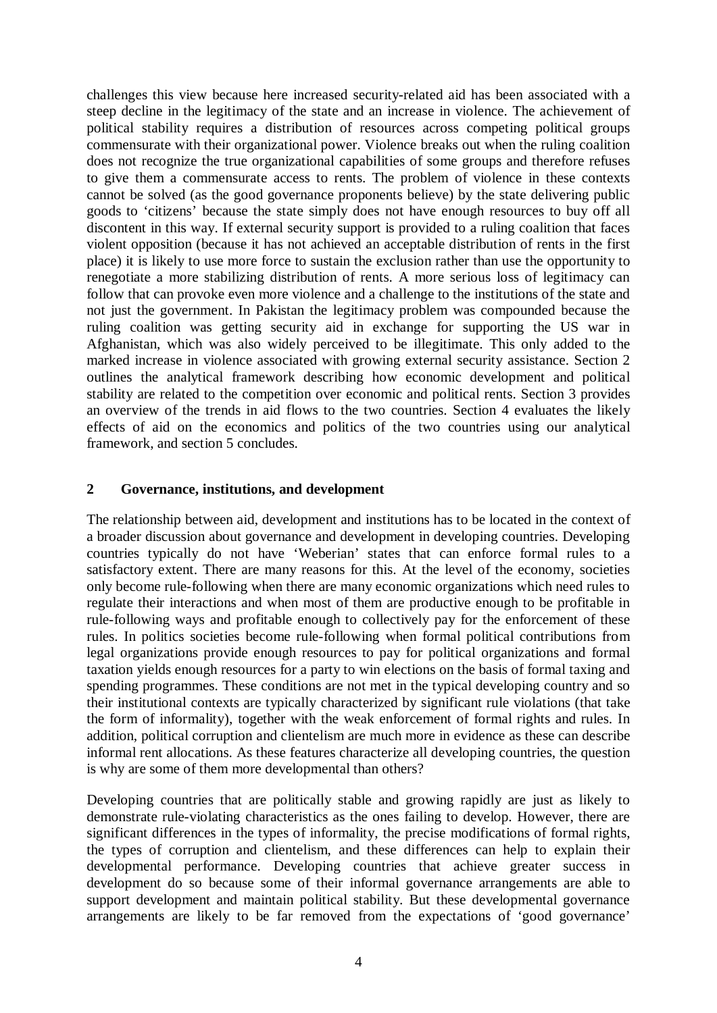challenges this view because here increased security-related aid has been associated with a steep decline in the legitimacy of the state and an increase in violence. The achievement of political stability requires a distribution of resources across competing political groups commensurate with their organizational power. Violence breaks out when the ruling coalition does not recognize the true organizational capabilities of some groups and therefore refuses to give them a commensurate access to rents. The problem of violence in these contexts cannot be solved (as the good governance proponents believe) by the state delivering public goods to 'citizens' because the state simply does not have enough resources to buy off all discontent in this way. If external security support is provided to a ruling coalition that faces violent opposition (because it has not achieved an acceptable distribution of rents in the first place) it is likely to use more force to sustain the exclusion rather than use the opportunity to renegotiate a more stabilizing distribution of rents. A more serious loss of legitimacy can follow that can provoke even more violence and a challenge to the institutions of the state and not just the government. In Pakistan the legitimacy problem was compounded because the ruling coalition was getting security aid in exchange for supporting the US war in Afghanistan, which was also widely perceived to be illegitimate. This only added to the marked increase in violence associated with growing external security assistance. Section 2 outlines the analytical framework describing how economic development and political stability are related to the competition over economic and political rents. Section 3 provides an overview of the trends in aid flows to the two countries. Section 4 evaluates the likely effects of aid on the economics and politics of the two countries using our analytical framework, and section 5 concludes.

## **2 Governance, institutions, and development**

The relationship between aid, development and institutions has to be located in the context of a broader discussion about governance and development in developing countries. Developing countries typically do not have 'Weberian' states that can enforce formal rules to a satisfactory extent. There are many reasons for this. At the level of the economy, societies only become rule-following when there are many economic organizations which need rules to regulate their interactions and when most of them are productive enough to be profitable in rule-following ways and profitable enough to collectively pay for the enforcement of these rules. In politics societies become rule-following when formal political contributions from legal organizations provide enough resources to pay for political organizations and formal taxation yields enough resources for a party to win elections on the basis of formal taxing and spending programmes. These conditions are not met in the typical developing country and so their institutional contexts are typically characterized by significant rule violations (that take the form of informality), together with the weak enforcement of formal rights and rules. In addition, political corruption and clientelism are much more in evidence as these can describe informal rent allocations. As these features characterize all developing countries, the question is why are some of them more developmental than others?

Developing countries that are politically stable and growing rapidly are just as likely to demonstrate rule-violating characteristics as the ones failing to develop. However, there are significant differences in the types of informality, the precise modifications of formal rights, the types of corruption and clientelism, and these differences can help to explain their developmental performance. Developing countries that achieve greater success in development do so because some of their informal governance arrangements are able to support development and maintain political stability. But these developmental governance arrangements are likely to be far removed from the expectations of 'good governance'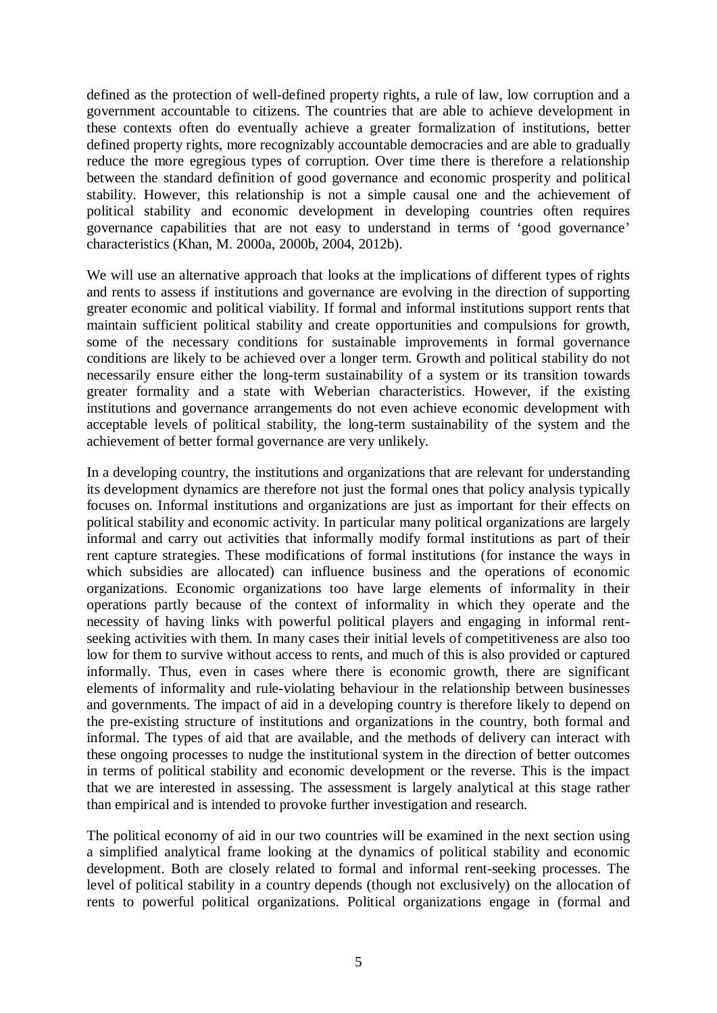defined as the protection of well-defined property rights, a rule of law, low corruption and a government accountable to citizens. The countries that are able to achieve development in these contexts often do eventually achieve a greater formalization of institutions, better defined property rights, more recognizably accountable democracies and are able to gradually reduce the more egregious types of corruption. Over time there is therefore a relationship between the standard definition of good governance and economic prosperity and political stability. However, this relationship is not a simple causal one and the achievement of political stability and economic development in developing countries often requires governance capabilities that are not easy to understand in terms of 'good governance' characteristics (Khan, M. 2000a, 2000b, 2004, 2012b).

We will use an alternative approach that looks at the implications of different types of rights and rents to assess if institutions and governance are evolving in the direction of supporting greater economic and political viability. If formal and informal institutions support rents that maintain sufficient political stability and create opportunities and compulsions for growth, some of the necessary conditions for sustainable improvements in formal governance conditions are likely to be achieved over a longer term. Growth and political stability do not necessarily ensure either the long-term sustainability of a system or its transition towards greater formality and a state with Weberian characteristics. However, if the existing institutions and governance arrangements do not even achieve economic development with acceptable levels of political stability, the long-term sustainability of the system and the achievement of better formal governance are very unlikely.

In a developing country, the institutions and organizations that are relevant for understanding its development dynamics are therefore not just the formal ones that policy analysis typically focuses on. Informal institutions and organizations are just as important for their effects on political stability and economic activity. In particular many political organizations are largely informal and carry out activities that informally modify formal institutions as part of their rent capture strategies. These modifications of formal institutions (for instance the ways in which subsidies are allocated) can influence business and the operations of economic organizations. Economic organizations too have large elements of informality in their operations partly because of the context of informality in which they operate and the necessity of having links with powerful political players and engaging in informal rentseeking activities with them. In many cases their initial levels of competitiveness are also too low for them to survive without access to rents, and much of this is also provided or captured informally. Thus, even in cases where there is economic growth, there are significant elements of informality and rule-violating behaviour in the relationship between businesses and governments. The impact of aid in a developing country is therefore likely to depend on the pre-existing structure of institutions and organizations in the country, both formal and informal. The types of aid that are available, and the methods of delivery can interact with these ongoing processes to nudge the institutional system in the direction of better outcomes in terms of political stability and economic development or the reverse. This is the impact that we are interested in assessing. The assessment is largely analytical at this stage rather than empirical and is intended to provoke further investigation and research.

The political economy of aid in our two countries will be examined in the next section using a simplified analytical frame looking at the dynamics of political stability and economic development. Both are closely related to formal and informal rent-seeking processes. The level of political stability in a country depends (though not exclusively) on the allocation of rents to powerful political organizations. Political organizations engage in (formal and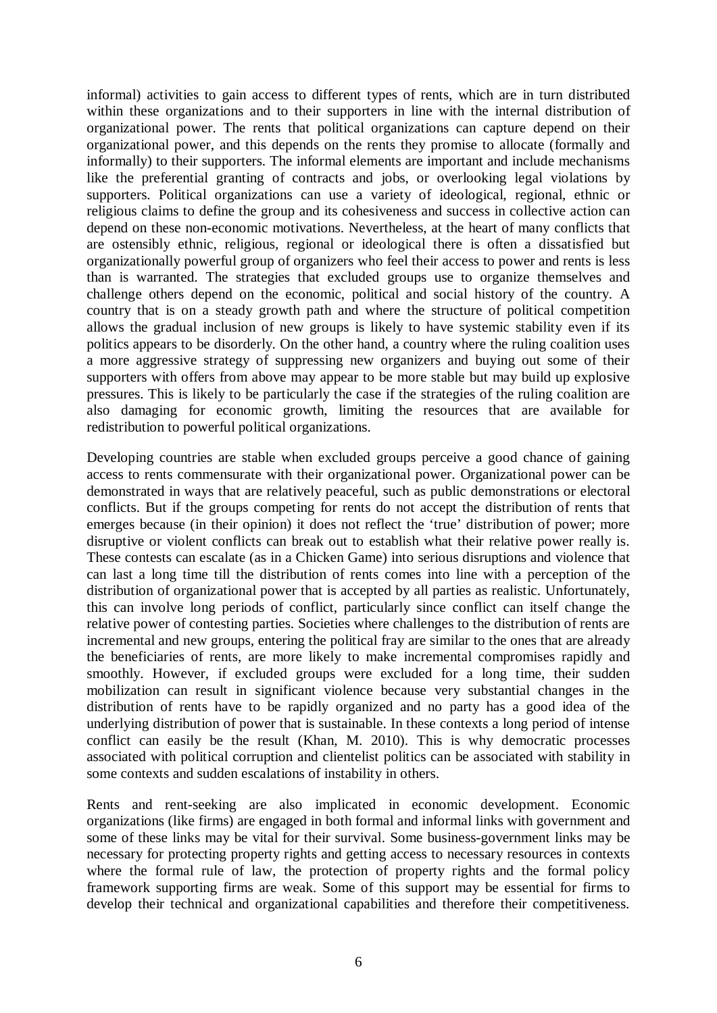informal) activities to gain access to different types of rents, which are in turn distributed within these organizations and to their supporters in line with the internal distribution of organizational power. The rents that political organizations can capture depend on their organizational power, and this depends on the rents they promise to allocate (formally and informally) to their supporters. The informal elements are important and include mechanisms like the preferential granting of contracts and jobs, or overlooking legal violations by supporters. Political organizations can use a variety of ideological, regional, ethnic or religious claims to define the group and its cohesiveness and success in collective action can depend on these non-economic motivations. Nevertheless, at the heart of many conflicts that are ostensibly ethnic, religious, regional or ideological there is often a dissatisfied but organizationally powerful group of organizers who feel their access to power and rents is less than is warranted. The strategies that excluded groups use to organize themselves and challenge others depend on the economic, political and social history of the country. A country that is on a steady growth path and where the structure of political competition allows the gradual inclusion of new groups is likely to have systemic stability even if its politics appears to be disorderly. On the other hand, a country where the ruling coalition uses a more aggressive strategy of suppressing new organizers and buying out some of their supporters with offers from above may appear to be more stable but may build up explosive pressures. This is likely to be particularly the case if the strategies of the ruling coalition are also damaging for economic growth, limiting the resources that are available for redistribution to powerful political organizations.

Developing countries are stable when excluded groups perceive a good chance of gaining access to rents commensurate with their organizational power. Organizational power can be demonstrated in ways that are relatively peaceful, such as public demonstrations or electoral conflicts. But if the groups competing for rents do not accept the distribution of rents that emerges because (in their opinion) it does not reflect the 'true' distribution of power; more disruptive or violent conflicts can break out to establish what their relative power really is. These contests can escalate (as in a Chicken Game) into serious disruptions and violence that can last a long time till the distribution of rents comes into line with a perception of the distribution of organizational power that is accepted by all parties as realistic. Unfortunately, this can involve long periods of conflict, particularly since conflict can itself change the relative power of contesting parties. Societies where challenges to the distribution of rents are incremental and new groups, entering the political fray are similar to the ones that are already the beneficiaries of rents, are more likely to make incremental compromises rapidly and smoothly. However, if excluded groups were excluded for a long time, their sudden mobilization can result in significant violence because very substantial changes in the distribution of rents have to be rapidly organized and no party has a good idea of the underlying distribution of power that is sustainable. In these contexts a long period of intense conflict can easily be the result (Khan, M. 2010). This is why democratic processes associated with political corruption and clientelist politics can be associated with stability in some contexts and sudden escalations of instability in others.

Rents and rent-seeking are also implicated in economic development. Economic organizations (like firms) are engaged in both formal and informal links with government and some of these links may be vital for their survival. Some business-government links may be necessary for protecting property rights and getting access to necessary resources in contexts where the formal rule of law, the protection of property rights and the formal policy framework supporting firms are weak. Some of this support may be essential for firms to develop their technical and organizational capabilities and therefore their competitiveness.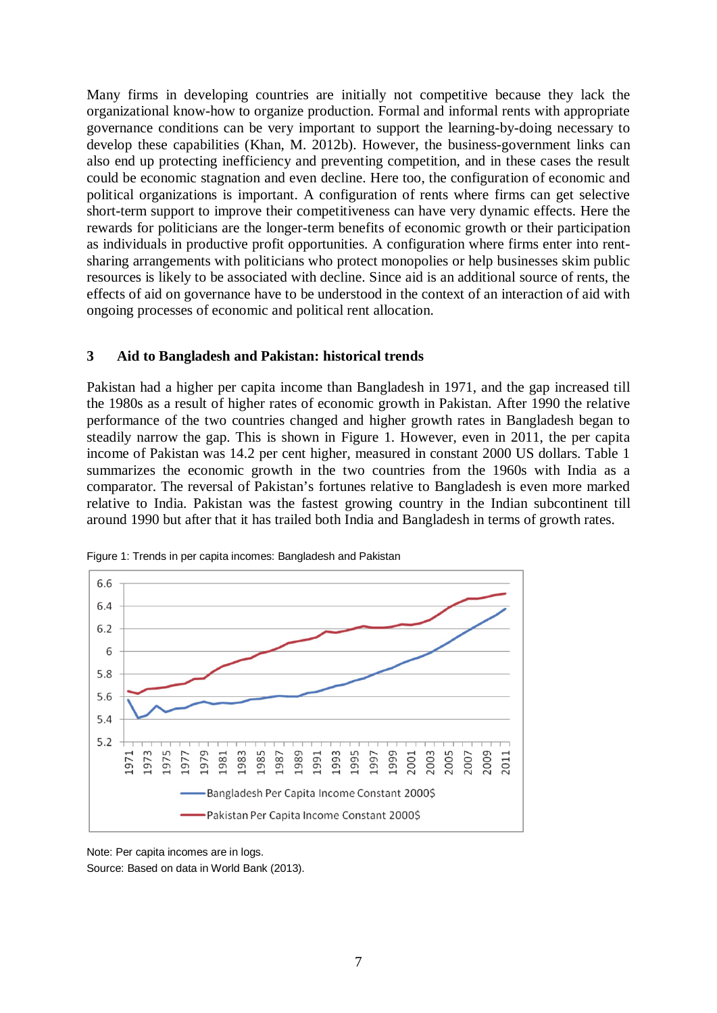Many firms in developing countries are initially not competitive because they lack the organizational know-how to organize production. Formal and informal rents with appropriate governance conditions can be very important to support the learning-by-doing necessary to develop these capabilities (Khan, M. 2012b). However, the business-government links can also end up protecting inefficiency and preventing competition, and in these cases the result could be economic stagnation and even decline. Here too, the configuration of economic and political organizations is important. A configuration of rents where firms can get selective short-term support to improve their competitiveness can have very dynamic effects. Here the rewards for politicians are the longer-term benefits of economic growth or their participation as individuals in productive profit opportunities. A configuration where firms enter into rentsharing arrangements with politicians who protect monopolies or help businesses skim public resources is likely to be associated with decline. Since aid is an additional source of rents, the effects of aid on governance have to be understood in the context of an interaction of aid with ongoing processes of economic and political rent allocation.

## **3 Aid to Bangladesh and Pakistan: historical trends**

Pakistan had a higher per capita income than Bangladesh in 1971, and the gap increased till the 1980s as a result of higher rates of economic growth in Pakistan. After 1990 the relative performance of the two countries changed and higher growth rates in Bangladesh began to steadily narrow the gap. This is shown in Figure 1. However, even in 2011, the per capita income of Pakistan was 14.2 per cent higher, measured in constant 2000 US dollars. Table 1 summarizes the economic growth in the two countries from the 1960s with India as a comparator. The reversal of Pakistan's fortunes relative to Bangladesh is even more marked relative to India. Pakistan was the fastest growing country in the Indian subcontinent till around 1990 but after that it has trailed both India and Bangladesh in terms of growth rates.



Figure 1: Trends in per capita incomes: Bangladesh and Pakistan

Note: Per capita incomes are in logs. Source: Based on data in World Bank (2013).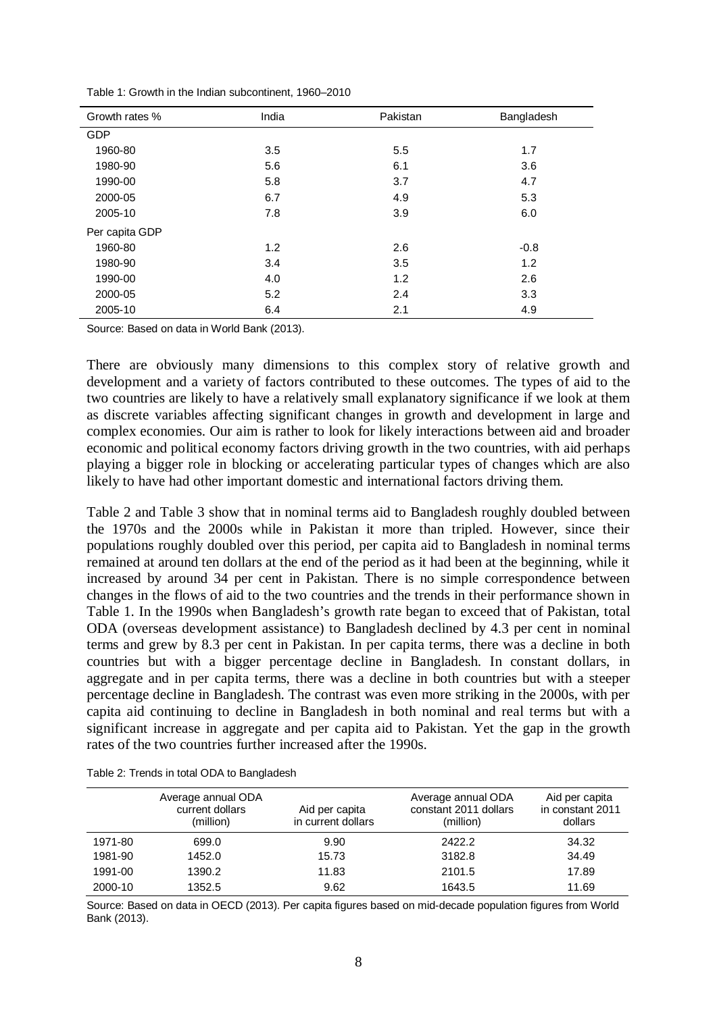| Growth rates % | India | Pakistan | Bangladesh |
|----------------|-------|----------|------------|
| <b>GDP</b>     |       |          |            |
| 1960-80        | 3.5   | 5.5      | 1.7        |
| 1980-90        | 5.6   | 6.1      | 3.6        |
| 1990-00        | 5.8   | 3.7      | 4.7        |
| 2000-05        | 6.7   | 4.9      | 5.3        |
| 2005-10        | 7.8   | 3.9      | 6.0        |
| Per capita GDP |       |          |            |
| 1960-80        | 1.2   | 2.6      | $-0.8$     |
| 1980-90        | 3.4   | 3.5      | 1.2        |
| 1990-00        | 4.0   | 1.2      | 2.6        |
| 2000-05        | 5.2   | 2.4      | 3.3        |
| 2005-10        | 6.4   | 2.1      | 4.9        |

Table 1: Growth in the Indian subcontinent, 1960–2010

Source: Based on data in World Bank (2013).

There are obviously many dimensions to this complex story of relative growth and development and a variety of factors contributed to these outcomes. The types of aid to the two countries are likely to have a relatively small explanatory significance if we look at them as discrete variables affecting significant changes in growth and development in large and complex economies. Our aim is rather to look for likely interactions between aid and broader economic and political economy factors driving growth in the two countries, with aid perhaps playing a bigger role in blocking or accelerating particular types of changes which are also likely to have had other important domestic and international factors driving them.

Table 2 and Table 3 show that in nominal terms aid to Bangladesh roughly doubled between the 1970s and the 2000s while in Pakistan it more than tripled. However, since their populations roughly doubled over this period, per capita aid to Bangladesh in nominal terms remained at around ten dollars at the end of the period as it had been at the beginning, while it increased by around 34 per cent in Pakistan. There is no simple correspondence between changes in the flows of aid to the two countries and the trends in their performance shown in Table 1. In the 1990s when Bangladesh's growth rate began to exceed that of Pakistan, total ODA (overseas development assistance) to Bangladesh declined by 4.3 per cent in nominal terms and grew by 8.3 per cent in Pakistan. In per capita terms, there was a decline in both countries but with a bigger percentage decline in Bangladesh. In constant dollars, in aggregate and in per capita terms, there was a decline in both countries but with a steeper percentage decline in Bangladesh. The contrast was even more striking in the 2000s, with per capita aid continuing to decline in Bangladesh in both nominal and real terms but with a significant increase in aggregate and per capita aid to Pakistan. Yet the gap in the growth rates of the two countries further increased after the 1990s.

|         | Average annual ODA<br>current dollars<br>(million) | Aid per capita<br>in current dollars | Average annual ODA<br>constant 2011 dollars<br>(million) | Aid per capita<br>in constant 2011<br>dollars |
|---------|----------------------------------------------------|--------------------------------------|----------------------------------------------------------|-----------------------------------------------|
| 1971-80 | 699.0                                              | 9.90                                 | 2422.2                                                   | 34.32                                         |
| 1981-90 | 1452.0                                             | 15.73                                | 3182.8                                                   | 34.49                                         |
| 1991-00 | 1390.2                                             | 11.83                                | 2101.5                                                   | 17.89                                         |
| 2000-10 | 1352.5                                             | 9.62                                 | 1643.5                                                   | 11.69                                         |

Table 2: Trends in total ODA to Bangladesh

Source: Based on data in OECD (2013). Per capita figures based on mid-decade population figures from World Bank (2013).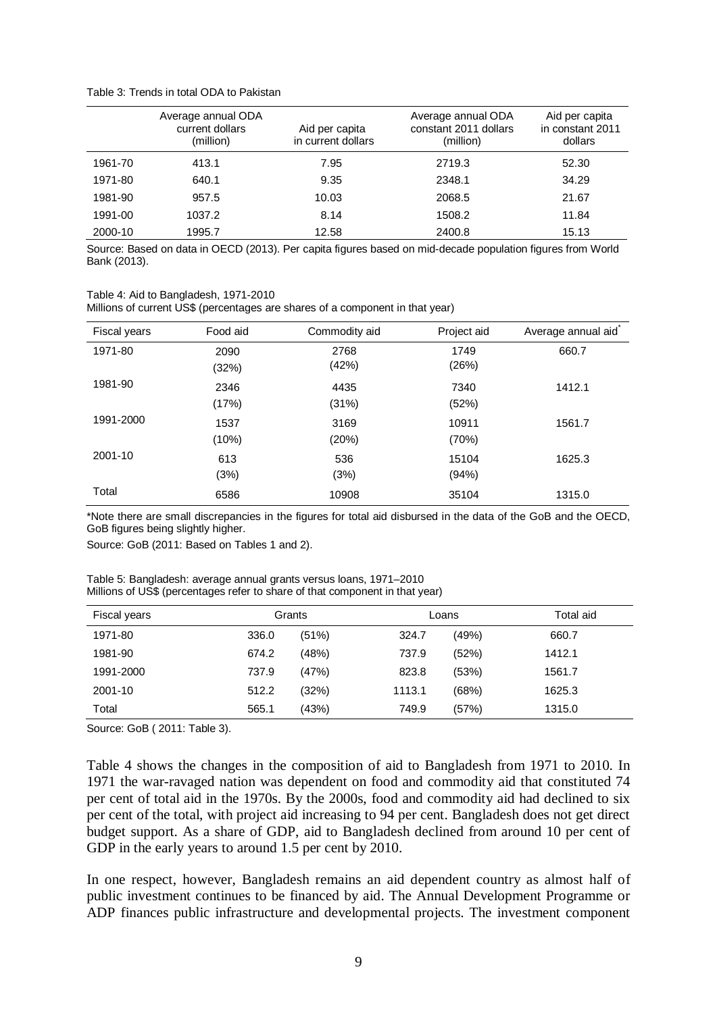#### Table 3: Trends in total ODA to Pakistan

|         | Average annual ODA<br>current dollars<br>(million) | Aid per capita<br>in current dollars | Average annual ODA<br>constant 2011 dollars<br>(million) | Aid per capita<br>in constant 2011<br>dollars |
|---------|----------------------------------------------------|--------------------------------------|----------------------------------------------------------|-----------------------------------------------|
| 1961-70 | 413.1                                              | 7.95                                 | 2719.3                                                   | 52.30                                         |
| 1971-80 | 640.1                                              | 9.35                                 | 2348.1                                                   | 34.29                                         |
| 1981-90 | 957.5                                              | 10.03                                | 2068.5                                                   | 21.67                                         |
| 1991-00 | 1037.2                                             | 8.14                                 | 1508.2                                                   | 11.84                                         |
| 2000-10 | 1995.7                                             | 12.58                                | 2400.8                                                   | 15.13                                         |

Source: Based on data in OECD (2013). Per capita figures based on mid-decade population figures from World Bank (2013).

#### Table 4: Aid to Bangladesh, 1971-2010

Millions of current US\$ (percentages are shares of a component in that year)

| Fiscal years | Food aid | Commodity aid | Project aid | Average annual aid |
|--------------|----------|---------------|-------------|--------------------|
| 1971-80      | 2090     | 2768          | 1749        | 660.7              |
|              | (32%)    | (42%)         | (26%)       |                    |
| 1981-90      | 2346     | 4435          | 7340        | 1412.1             |
|              | (17%)    | (31%)         | (52%)       |                    |
| 1991-2000    | 1537     | 3169          | 10911       | 1561.7             |
|              | (10%)    | (20%)         | (70%)       |                    |
| 2001-10      | 613      | 536           | 15104       | 1625.3             |
|              | (3%)     | (3%)          | (94%)       |                    |
| Total        | 6586     | 10908         | 35104       | 1315.0             |

\*Note there are small discrepancies in the figures for total aid disbursed in the data of the GoB and the OECD, GoB figures being slightly higher.

Source: GoB (2011: Based on Tables 1 and 2).

#### Table 5: Bangladesh: average annual grants versus loans, 1971–2010 Millions of US\$ (percentages refer to share of that component in that year)

| Fiscal years |       | Grants |        | Loans | Total aid |
|--------------|-------|--------|--------|-------|-----------|
| 1971-80      | 336.0 | (51%)  | 324.7  | (49%) | 660.7     |
| 1981-90      | 674.2 | (48%)  | 737.9  | (52%) | 1412.1    |
| 1991-2000    | 737.9 | (47%)  | 823.8  | (53%) | 1561.7    |
| 2001-10      | 512.2 | (32%)  | 1113.1 | (68%) | 1625.3    |
| Total        | 565.1 | (43%)  | 749.9  | (57%) | 1315.0    |

Source: GoB ( 2011: Table 3).

Table 4 shows the changes in the composition of aid to Bangladesh from 1971 to 2010. In 1971 the war-ravaged nation was dependent on food and commodity aid that constituted 74 per cent of total aid in the 1970s. By the 2000s, food and commodity aid had declined to six per cent of the total, with project aid increasing to 94 per cent. Bangladesh does not get direct budget support. As a share of GDP, aid to Bangladesh declined from around 10 per cent of GDP in the early years to around 1.5 per cent by 2010.

In one respect, however, Bangladesh remains an aid dependent country as almost half of public investment continues to be financed by aid. The Annual Development Programme or ADP finances public infrastructure and developmental projects. The investment component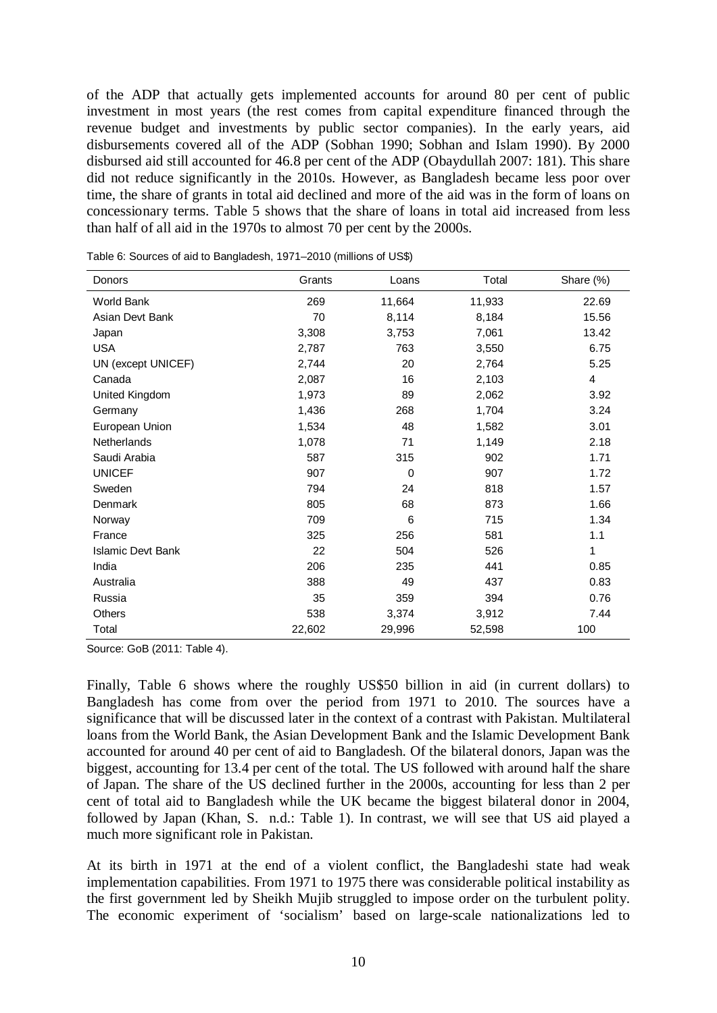of the ADP that actually gets implemented accounts for around 80 per cent of public investment in most years (the rest comes from capital expenditure financed through the revenue budget and investments by public sector companies). In the early years, aid disbursements covered all of the ADP (Sobhan 1990; Sobhan and Islam 1990). By 2000 disbursed aid still accounted for 46.8 per cent of the ADP (Obaydullah 2007: 181). This share did not reduce significantly in the 2010s. However, as Bangladesh became less poor over time, the share of grants in total aid declined and more of the aid was in the form of loans on concessionary terms. Table 5 shows that the share of loans in total aid increased from less than half of all aid in the 1970s to almost 70 per cent by the 2000s.

| Donors                   | Grants | Loans       | Total  | Share (%)      |
|--------------------------|--------|-------------|--------|----------------|
| <b>World Bank</b>        | 269    | 11,664      | 11,933 | 22.69          |
| Asian Devt Bank          | 70     | 8,114       | 8,184  | 15.56          |
| Japan                    | 3,308  | 3,753       | 7,061  | 13.42          |
| <b>USA</b>               | 2,787  | 763         | 3,550  | 6.75           |
| UN (except UNICEF)       | 2,744  | 20          | 2,764  | 5.25           |
| Canada                   | 2,087  | 16          | 2,103  | $\overline{4}$ |
| United Kingdom           | 1,973  | 89          | 2,062  | 3.92           |
| Germany                  | 1,436  | 268         | 1,704  | 3.24           |
| European Union           | 1,534  | 48          | 1,582  | 3.01           |
| Netherlands              | 1,078  | 71          | 1,149  | 2.18           |
| Saudi Arabia             | 587    | 315         | 902    | 1.71           |
| <b>UNICEF</b>            | 907    | $\mathbf 0$ | 907    | 1.72           |
| Sweden                   | 794    | 24          | 818    | 1.57           |
| Denmark                  | 805    | 68          | 873    | 1.66           |
| Norway                   | 709    | 6           | 715    | 1.34           |
| France                   | 325    | 256         | 581    | 1.1            |
| <b>Islamic Devt Bank</b> | 22     | 504         | 526    | 1              |
| India                    | 206    | 235         | 441    | 0.85           |
| Australia                | 388    | 49          | 437    | 0.83           |
| Russia                   | 35     | 359         | 394    | 0.76           |
| Others                   | 538    | 3,374       | 3,912  | 7.44           |
| Total                    | 22,602 | 29,996      | 52,598 | 100            |

Table 6: Sources of aid to Bangladesh, 1971–2010 (millions of US\$)

Source: GoB (2011: Table 4).

Finally, Table 6 shows where the roughly US\$50 billion in aid (in current dollars) to Bangladesh has come from over the period from 1971 to 2010. The sources have a significance that will be discussed later in the context of a contrast with Pakistan. Multilateral loans from the World Bank, the Asian Development Bank and the Islamic Development Bank accounted for around 40 per cent of aid to Bangladesh. Of the bilateral donors, Japan was the biggest, accounting for 13.4 per cent of the total. The US followed with around half the share of Japan. The share of the US declined further in the 2000s, accounting for less than 2 per cent of total aid to Bangladesh while the UK became the biggest bilateral donor in 2004, followed by Japan (Khan, S. n.d.: Table 1). In contrast, we will see that US aid played a much more significant role in Pakistan.

At its birth in 1971 at the end of a violent conflict, the Bangladeshi state had weak implementation capabilities. From 1971 to 1975 there was considerable political instability as the first government led by Sheikh Mujib struggled to impose order on the turbulent polity. The economic experiment of 'socialism' based on large-scale nationalizations led to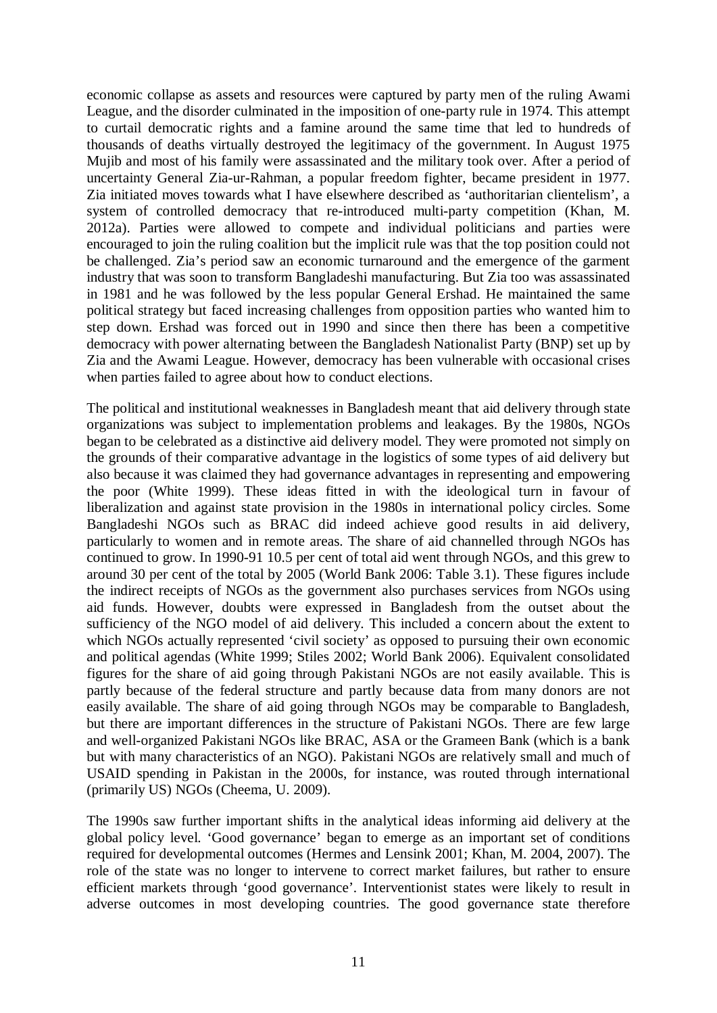economic collapse as assets and resources were captured by party men of the ruling Awami League, and the disorder culminated in the imposition of one-party rule in 1974. This attempt to curtail democratic rights and a famine around the same time that led to hundreds of thousands of deaths virtually destroyed the legitimacy of the government. In August 1975 Mujib and most of his family were assassinated and the military took over. After a period of uncertainty General Zia-ur-Rahman, a popular freedom fighter, became president in 1977. Zia initiated moves towards what I have elsewhere described as 'authoritarian clientelism', a system of controlled democracy that re-introduced multi-party competition (Khan, M. 2012a). Parties were allowed to compete and individual politicians and parties were encouraged to join the ruling coalition but the implicit rule was that the top position could not be challenged. Zia's period saw an economic turnaround and the emergence of the garment industry that was soon to transform Bangladeshi manufacturing. But Zia too was assassinated in 1981 and he was followed by the less popular General Ershad. He maintained the same political strategy but faced increasing challenges from opposition parties who wanted him to step down. Ershad was forced out in 1990 and since then there has been a competitive democracy with power alternating between the Bangladesh Nationalist Party (BNP) set up by Zia and the Awami League. However, democracy has been vulnerable with occasional crises when parties failed to agree about how to conduct elections.

The political and institutional weaknesses in Bangladesh meant that aid delivery through state organizations was subject to implementation problems and leakages. By the 1980s, NGOs began to be celebrated as a distinctive aid delivery model. They were promoted not simply on the grounds of their comparative advantage in the logistics of some types of aid delivery but also because it was claimed they had governance advantages in representing and empowering the poor (White 1999). These ideas fitted in with the ideological turn in favour of liberalization and against state provision in the 1980s in international policy circles. Some Bangladeshi NGOs such as BRAC did indeed achieve good results in aid delivery, particularly to women and in remote areas. The share of aid channelled through NGOs has continued to grow. In 1990-91 10.5 per cent of total aid went through NGOs, and this grew to around 30 per cent of the total by 2005 (World Bank 2006: Table 3.1). These figures include the indirect receipts of NGOs as the government also purchases services from NGOs using aid funds. However, doubts were expressed in Bangladesh from the outset about the sufficiency of the NGO model of aid delivery. This included a concern about the extent to which NGOs actually represented 'civil society' as opposed to pursuing their own economic and political agendas (White 1999; Stiles 2002; World Bank 2006). Equivalent consolidated figures for the share of aid going through Pakistani NGOs are not easily available. This is partly because of the federal structure and partly because data from many donors are not easily available. The share of aid going through NGOs may be comparable to Bangladesh, but there are important differences in the structure of Pakistani NGOs. There are few large and well-organized Pakistani NGOs like BRAC, ASA or the Grameen Bank (which is a bank but with many characteristics of an NGO). Pakistani NGOs are relatively small and much of USAID spending in Pakistan in the 2000s, for instance, was routed through international (primarily US) NGOs (Cheema, U. 2009).

The 1990s saw further important shifts in the analytical ideas informing aid delivery at the global policy level. 'Good governance' began to emerge as an important set of conditions required for developmental outcomes (Hermes and Lensink 2001; Khan, M. 2004, 2007). The role of the state was no longer to intervene to correct market failures, but rather to ensure efficient markets through 'good governance'. Interventionist states were likely to result in adverse outcomes in most developing countries. The good governance state therefore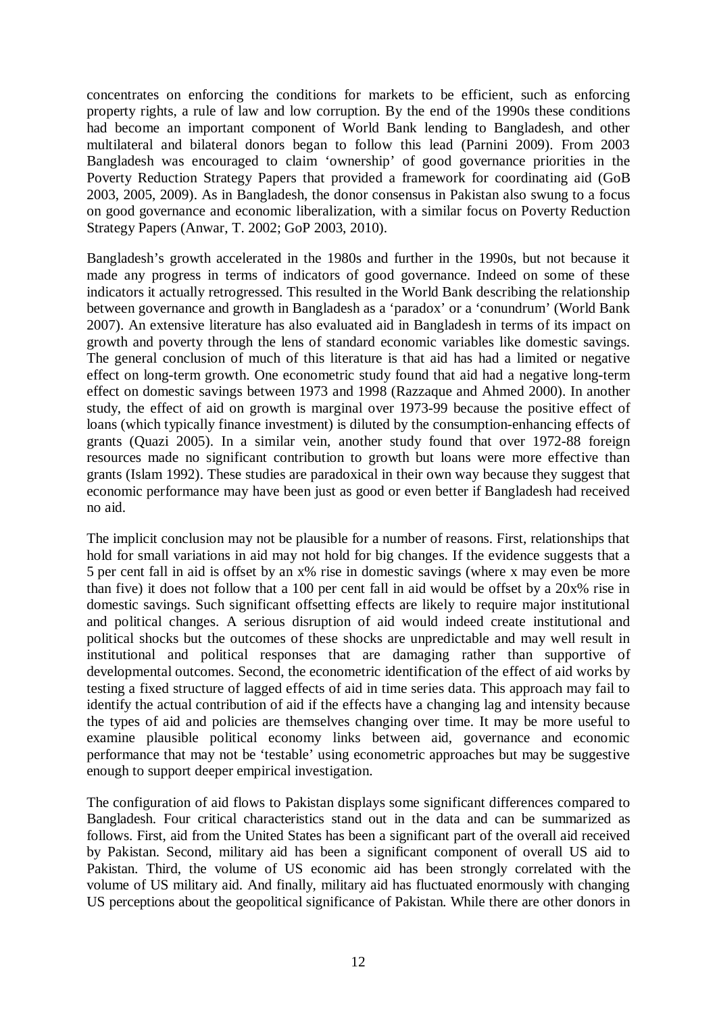concentrates on enforcing the conditions for markets to be efficient, such as enforcing property rights, a rule of law and low corruption. By the end of the 1990s these conditions had become an important component of World Bank lending to Bangladesh, and other multilateral and bilateral donors began to follow this lead (Parnini 2009). From 2003 Bangladesh was encouraged to claim 'ownership' of good governance priorities in the Poverty Reduction Strategy Papers that provided a framework for coordinating aid (GoB 2003, 2005, 2009). As in Bangladesh, the donor consensus in Pakistan also swung to a focus on good governance and economic liberalization, with a similar focus on Poverty Reduction Strategy Papers (Anwar, T. 2002; GoP 2003, 2010).

Bangladesh's growth accelerated in the 1980s and further in the 1990s, but not because it made any progress in terms of indicators of good governance. Indeed on some of these indicators it actually retrogressed. This resulted in the World Bank describing the relationship between governance and growth in Bangladesh as a 'paradox' or a 'conundrum' (World Bank 2007). An extensive literature has also evaluated aid in Bangladesh in terms of its impact on growth and poverty through the lens of standard economic variables like domestic savings. The general conclusion of much of this literature is that aid has had a limited or negative effect on long-term growth. One econometric study found that aid had a negative long-term effect on domestic savings between 1973 and 1998 (Razzaque and Ahmed 2000). In another study, the effect of aid on growth is marginal over 1973-99 because the positive effect of loans (which typically finance investment) is diluted by the consumption-enhancing effects of grants (Quazi 2005). In a similar vein, another study found that over 1972-88 foreign resources made no significant contribution to growth but loans were more effective than grants (Islam 1992). These studies are paradoxical in their own way because they suggest that economic performance may have been just as good or even better if Bangladesh had received no aid.

The implicit conclusion may not be plausible for a number of reasons. First, relationships that hold for small variations in aid may not hold for big changes. If the evidence suggests that a 5 per cent fall in aid is offset by an x% rise in domestic savings (where x may even be more than five) it does not follow that a 100 per cent fall in aid would be offset by a 20x% rise in domestic savings. Such significant offsetting effects are likely to require major institutional and political changes. A serious disruption of aid would indeed create institutional and political shocks but the outcomes of these shocks are unpredictable and may well result in institutional and political responses that are damaging rather than supportive of developmental outcomes. Second, the econometric identification of the effect of aid works by testing a fixed structure of lagged effects of aid in time series data. This approach may fail to identify the actual contribution of aid if the effects have a changing lag and intensity because the types of aid and policies are themselves changing over time. It may be more useful to examine plausible political economy links between aid, governance and economic performance that may not be 'testable' using econometric approaches but may be suggestive enough to support deeper empirical investigation.

The configuration of aid flows to Pakistan displays some significant differences compared to Bangladesh. Four critical characteristics stand out in the data and can be summarized as follows. First, aid from the United States has been a significant part of the overall aid received by Pakistan. Second, military aid has been a significant component of overall US aid to Pakistan. Third, the volume of US economic aid has been strongly correlated with the volume of US military aid. And finally, military aid has fluctuated enormously with changing US perceptions about the geopolitical significance of Pakistan. While there are other donors in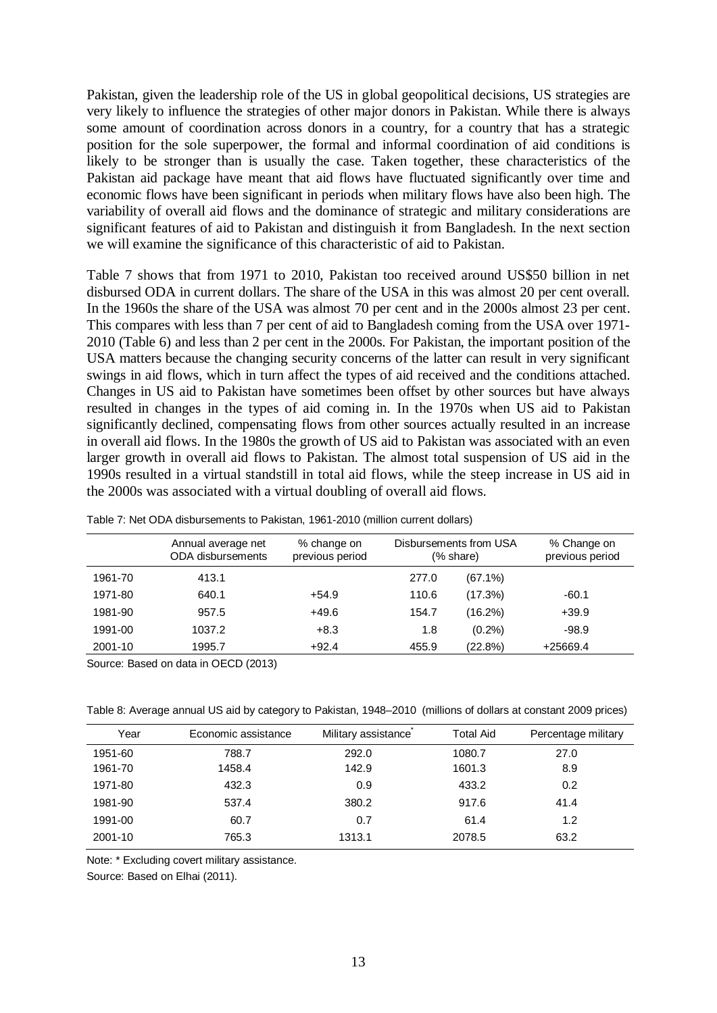Pakistan, given the leadership role of the US in global geopolitical decisions, US strategies are very likely to influence the strategies of other major donors in Pakistan. While there is always some amount of coordination across donors in a country, for a country that has a strategic position for the sole superpower, the formal and informal coordination of aid conditions is likely to be stronger than is usually the case. Taken together, these characteristics of the Pakistan aid package have meant that aid flows have fluctuated significantly over time and economic flows have been significant in periods when military flows have also been high. The variability of overall aid flows and the dominance of strategic and military considerations are significant features of aid to Pakistan and distinguish it from Bangladesh. In the next section we will examine the significance of this characteristic of aid to Pakistan.

Table 7 shows that from 1971 to 2010, Pakistan too received around US\$50 billion in net disbursed ODA in current dollars. The share of the USA in this was almost 20 per cent overall. In the 1960s the share of the USA was almost 70 per cent and in the 2000s almost 23 per cent. This compares with less than 7 per cent of aid to Bangladesh coming from the USA over 1971- 2010 (Table 6) and less than 2 per cent in the 2000s. For Pakistan, the important position of the USA matters because the changing security concerns of the latter can result in very significant swings in aid flows, which in turn affect the types of aid received and the conditions attached. Changes in US aid to Pakistan have sometimes been offset by other sources but have always resulted in changes in the types of aid coming in. In the 1970s when US aid to Pakistan significantly declined, compensating flows from other sources actually resulted in an increase in overall aid flows. In the 1980s the growth of US aid to Pakistan was associated with an even larger growth in overall aid flows to Pakistan. The almost total suspension of US aid in the 1990s resulted in a virtual standstill in total aid flows, while the steep increase in US aid in the 2000s was associated with a virtual doubling of overall aid flows.

|         | Annual average net<br><b>ODA</b> disbursements | % change on<br>previous period |       | Disbursements from USA<br>(% share) | % Change on<br>previous period |
|---------|------------------------------------------------|--------------------------------|-------|-------------------------------------|--------------------------------|
| 1961-70 | 413.1                                          |                                | 277.0 | $(67.1\%)$                          |                                |
| 1971-80 | 640.1                                          | $+54.9$                        | 110.6 | (17.3%)                             | $-60.1$                        |
| 1981-90 | 957.5                                          | +49.6                          | 154.7 | (16.2%)                             | $+39.9$                        |
| 1991-00 | 1037.2                                         | $+8.3$                         | 1.8   | $(0.2\%)$                           | $-98.9$                        |
| 2001-10 | 1995.7                                         | $+92.4$                        | 455.9 | (22.8%)                             | +25669.4                       |

Table 7: Net ODA disbursements to Pakistan, 1961-2010 (million current dollars)

Source: Based on data in OECD (2013)

Table 8: Average annual US aid by category to Pakistan, 1948–2010 (millions of dollars at constant 2009 prices)

| Year    | Economic assistance | Military assistance | <b>Total Aid</b> | Percentage military |
|---------|---------------------|---------------------|------------------|---------------------|
| 1951-60 | 788.7               | 292.0               | 1080.7           | 27.0                |
| 1961-70 | 1458.4              | 142.9               | 1601.3           | 8.9                 |
| 1971-80 | 432.3               | 0.9                 | 433.2            | 0.2                 |
| 1981-90 | 537.4               | 380.2               | 917.6            | 41.4                |
| 1991-00 | 60.7                | 0.7                 | 61.4             | 1.2                 |
| 2001-10 | 765.3               | 1313.1              | 2078.5           | 63.2                |

Note: \* Excluding covert military assistance.

Source: Based on Elhai (2011).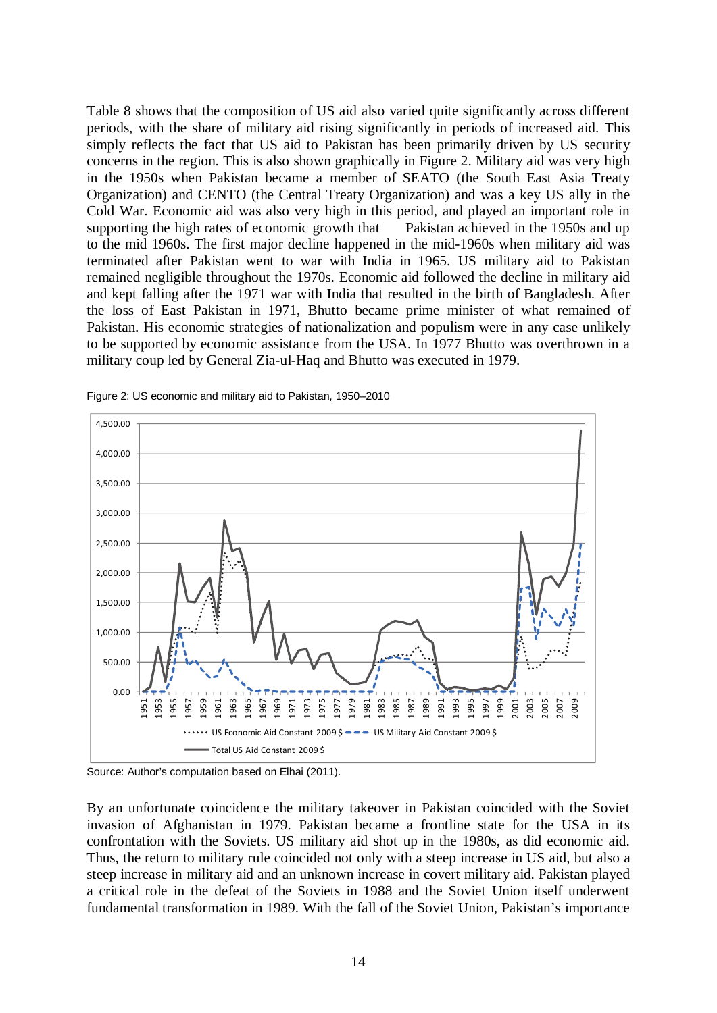Table 8 shows that the composition of US aid also varied quite significantly across different periods, with the share of military aid rising significantly in periods of increased aid. This simply reflects the fact that US aid to Pakistan has been primarily driven by US security concerns in the region. This is also shown graphically in Figure 2. Military aid was very high in the 1950s when Pakistan became a member of SEATO (the South East Asia Treaty Organization) and CENTO (the Central Treaty Organization) and was a key US ally in the Cold War. Economic aid was also very high in this period, and played an important role in supporting the high rates of economic growth that Pakistan achieved in the 1950s and up to the mid 1960s. The first major decline happened in the mid-1960s when military aid was terminated after Pakistan went to war with India in 1965. US military aid to Pakistan remained negligible throughout the 1970s. Economic aid followed the decline in military aid and kept falling after the 1971 war with India that resulted in the birth of Bangladesh. After the loss of East Pakistan in 1971, Bhutto became prime minister of what remained of Pakistan. His economic strategies of nationalization and populism were in any case unlikely to be supported by economic assistance from the USA. In 1977 Bhutto was overthrown in a military coup led by General Zia-ul-Haq and Bhutto was executed in 1979.



Figure 2: US economic and military aid to Pakistan, 1950–2010

Source: Author's computation based on Elhai (2011).

By an unfortunate coincidence the military takeover in Pakistan coincided with the Soviet invasion of Afghanistan in 1979. Pakistan became a frontline state for the USA in its confrontation with the Soviets. US military aid shot up in the 1980s, as did economic aid. Thus, the return to military rule coincided not only with a steep increase in US aid, but also a steep increase in military aid and an unknown increase in covert military aid. Pakistan played a critical role in the defeat of the Soviets in 1988 and the Soviet Union itself underwent fundamental transformation in 1989. With the fall of the Soviet Union, Pakistan's importance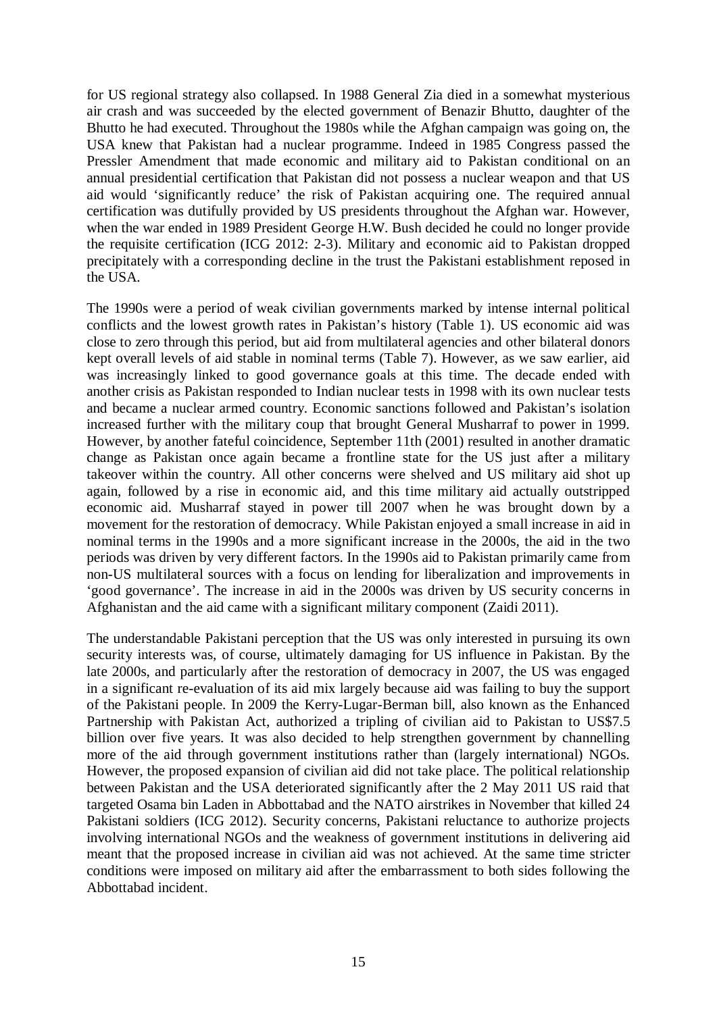for US regional strategy also collapsed. In 1988 General Zia died in a somewhat mysterious air crash and was succeeded by the elected government of Benazir Bhutto, daughter of the Bhutto he had executed. Throughout the 1980s while the Afghan campaign was going on, the USA knew that Pakistan had a nuclear programme. Indeed in 1985 Congress passed the Pressler Amendment that made economic and military aid to Pakistan conditional on an annual presidential certification that Pakistan did not possess a nuclear weapon and that US aid would 'significantly reduce' the risk of Pakistan acquiring one. The required annual certification was dutifully provided by US presidents throughout the Afghan war. However, when the war ended in 1989 President George H.W. Bush decided he could no longer provide the requisite certification (ICG 2012: 2-3). Military and economic aid to Pakistan dropped precipitately with a corresponding decline in the trust the Pakistani establishment reposed in the USA.

The 1990s were a period of weak civilian governments marked by intense internal political conflicts and the lowest growth rates in Pakistan's history (Table 1). US economic aid was close to zero through this period, but aid from multilateral agencies and other bilateral donors kept overall levels of aid stable in nominal terms (Table 7). However, as we saw earlier, aid was increasingly linked to good governance goals at this time. The decade ended with another crisis as Pakistan responded to Indian nuclear tests in 1998 with its own nuclear tests and became a nuclear armed country. Economic sanctions followed and Pakistan's isolation increased further with the military coup that brought General Musharraf to power in 1999. However, by another fateful coincidence, September 11th (2001) resulted in another dramatic change as Pakistan once again became a frontline state for the US just after a military takeover within the country. All other concerns were shelved and US military aid shot up again, followed by a rise in economic aid, and this time military aid actually outstripped economic aid. Musharraf stayed in power till 2007 when he was brought down by a movement for the restoration of democracy. While Pakistan enjoyed a small increase in aid in nominal terms in the 1990s and a more significant increase in the 2000s, the aid in the two periods was driven by very different factors. In the 1990s aid to Pakistan primarily came from non-US multilateral sources with a focus on lending for liberalization and improvements in 'good governance'. The increase in aid in the 2000s was driven by US security concerns in Afghanistan and the aid came with a significant military component (Zaidi 2011).

The understandable Pakistani perception that the US was only interested in pursuing its own security interests was, of course, ultimately damaging for US influence in Pakistan. By the late 2000s, and particularly after the restoration of democracy in 2007, the US was engaged in a significant re-evaluation of its aid mix largely because aid was failing to buy the support of the Pakistani people. In 2009 the Kerry-Lugar-Berman bill, also known as the Enhanced Partnership with Pakistan Act, authorized a tripling of civilian aid to Pakistan to US\$7.5 billion over five years. It was also decided to help strengthen government by channelling more of the aid through government institutions rather than (largely international) NGOs. However, the proposed expansion of civilian aid did not take place. The political relationship between Pakistan and the USA deteriorated significantly after the 2 May 2011 US raid that targeted Osama bin Laden in Abbottabad and the NATO airstrikes in November that killed 24 Pakistani soldiers (ICG 2012). Security concerns, Pakistani reluctance to authorize projects involving international NGOs and the weakness of government institutions in delivering aid meant that the proposed increase in civilian aid was not achieved. At the same time stricter conditions were imposed on military aid after the embarrassment to both sides following the Abbottabad incident.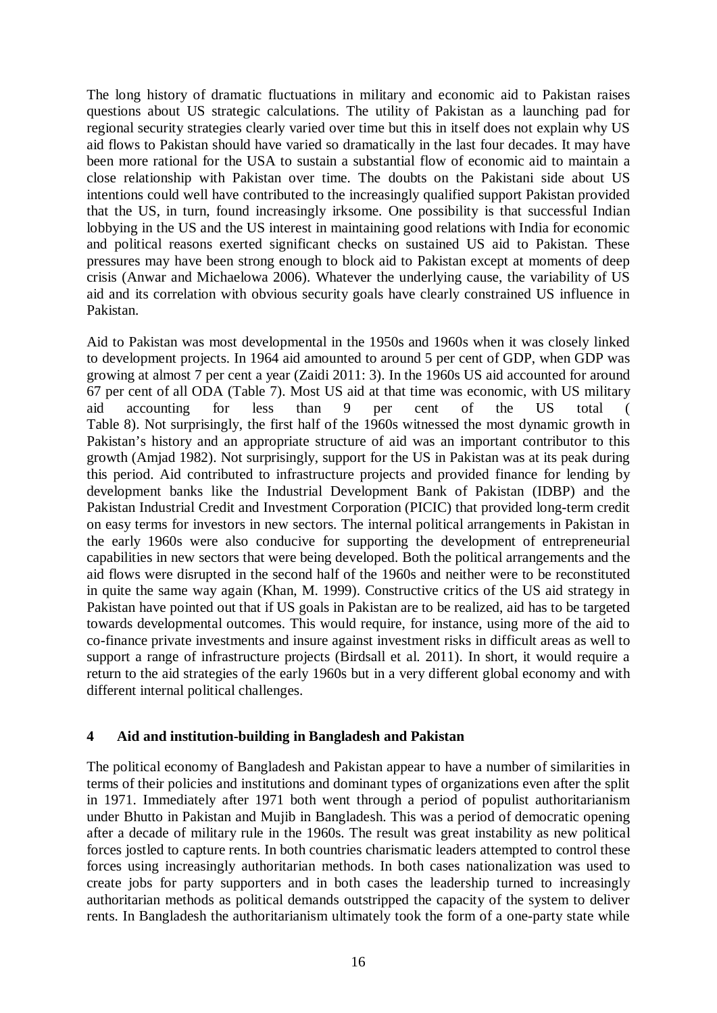The long history of dramatic fluctuations in military and economic aid to Pakistan raises questions about US strategic calculations. The utility of Pakistan as a launching pad for regional security strategies clearly varied over time but this in itself does not explain why US aid flows to Pakistan should have varied so dramatically in the last four decades. It may have been more rational for the USA to sustain a substantial flow of economic aid to maintain a close relationship with Pakistan over time. The doubts on the Pakistani side about US intentions could well have contributed to the increasingly qualified support Pakistan provided that the US, in turn, found increasingly irksome. One possibility is that successful Indian lobbying in the US and the US interest in maintaining good relations with India for economic and political reasons exerted significant checks on sustained US aid to Pakistan. These pressures may have been strong enough to block aid to Pakistan except at moments of deep crisis (Anwar and Michaelowa 2006). Whatever the underlying cause, the variability of US aid and its correlation with obvious security goals have clearly constrained US influence in Pakistan.

Aid to Pakistan was most developmental in the 1950s and 1960s when it was closely linked to development projects. In 1964 aid amounted to around 5 per cent of GDP, when GDP was growing at almost 7 per cent a year (Zaidi 2011: 3). In the 1960s US aid accounted for around 67 per cent of all ODA (Table 7). Most US aid at that time was economic, with US military aid accounting for less than 9 per cent of the US total ( Table 8). Not surprisingly, the first half of the 1960s witnessed the most dynamic growth in Pakistan's history and an appropriate structure of aid was an important contributor to this growth (Amjad 1982). Not surprisingly, support for the US in Pakistan was at its peak during this period. Aid contributed to infrastructure projects and provided finance for lending by development banks like the Industrial Development Bank of Pakistan (IDBP) and the Pakistan Industrial Credit and Investment Corporation (PICIC) that provided long-term credit on easy terms for investors in new sectors. The internal political arrangements in Pakistan in the early 1960s were also conducive for supporting the development of entrepreneurial capabilities in new sectors that were being developed. Both the political arrangements and the aid flows were disrupted in the second half of the 1960s and neither were to be reconstituted in quite the same way again (Khan, M. 1999). Constructive critics of the US aid strategy in Pakistan have pointed out that if US goals in Pakistan are to be realized, aid has to be targeted towards developmental outcomes. This would require, for instance, using more of the aid to co-finance private investments and insure against investment risks in difficult areas as well to support a range of infrastructure projects (Birdsall et al. 2011). In short, it would require a return to the aid strategies of the early 1960s but in a very different global economy and with different internal political challenges.

## **4 Aid and institution-building in Bangladesh and Pakistan**

The political economy of Bangladesh and Pakistan appear to have a number of similarities in terms of their policies and institutions and dominant types of organizations even after the split in 1971. Immediately after 1971 both went through a period of populist authoritarianism under Bhutto in Pakistan and Mujib in Bangladesh. This was a period of democratic opening after a decade of military rule in the 1960s. The result was great instability as new political forces jostled to capture rents. In both countries charismatic leaders attempted to control these forces using increasingly authoritarian methods. In both cases nationalization was used to create jobs for party supporters and in both cases the leadership turned to increasingly authoritarian methods as political demands outstripped the capacity of the system to deliver rents. In Bangladesh the authoritarianism ultimately took the form of a one-party state while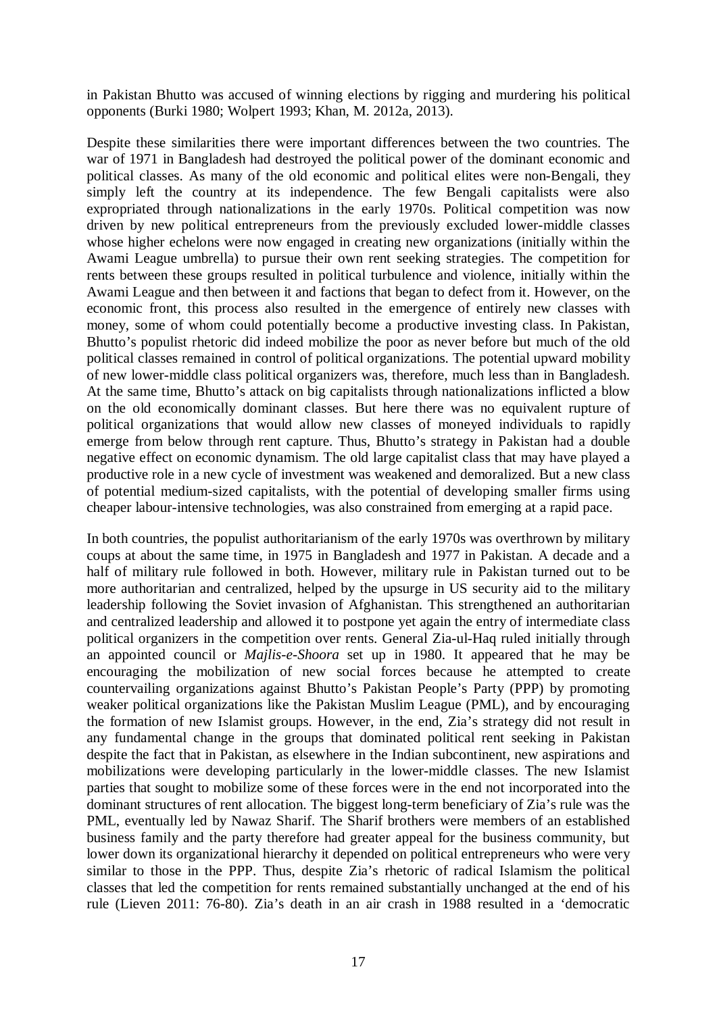in Pakistan Bhutto was accused of winning elections by rigging and murdering his political opponents (Burki 1980; Wolpert 1993; Khan, M. 2012a, 2013).

Despite these similarities there were important differences between the two countries. The war of 1971 in Bangladesh had destroyed the political power of the dominant economic and political classes. As many of the old economic and political elites were non-Bengali, they simply left the country at its independence. The few Bengali capitalists were also expropriated through nationalizations in the early 1970s. Political competition was now driven by new political entrepreneurs from the previously excluded lower-middle classes whose higher echelons were now engaged in creating new organizations (initially within the Awami League umbrella) to pursue their own rent seeking strategies. The competition for rents between these groups resulted in political turbulence and violence, initially within the Awami League and then between it and factions that began to defect from it. However, on the economic front, this process also resulted in the emergence of entirely new classes with money, some of whom could potentially become a productive investing class. In Pakistan, Bhutto's populist rhetoric did indeed mobilize the poor as never before but much of the old political classes remained in control of political organizations. The potential upward mobility of new lower-middle class political organizers was, therefore, much less than in Bangladesh. At the same time, Bhutto's attack on big capitalists through nationalizations inflicted a blow on the old economically dominant classes. But here there was no equivalent rupture of political organizations that would allow new classes of moneyed individuals to rapidly emerge from below through rent capture. Thus, Bhutto's strategy in Pakistan had a double negative effect on economic dynamism. The old large capitalist class that may have played a productive role in a new cycle of investment was weakened and demoralized. But a new class of potential medium-sized capitalists, with the potential of developing smaller firms using cheaper labour-intensive technologies, was also constrained from emerging at a rapid pace.

In both countries, the populist authoritarianism of the early 1970s was overthrown by military coups at about the same time, in 1975 in Bangladesh and 1977 in Pakistan. A decade and a half of military rule followed in both. However, military rule in Pakistan turned out to be more authoritarian and centralized, helped by the upsurge in US security aid to the military leadership following the Soviet invasion of Afghanistan. This strengthened an authoritarian and centralized leadership and allowed it to postpone yet again the entry of intermediate class political organizers in the competition over rents. General Zia-ul-Haq ruled initially through an appointed council or *Majlis-e-Shoora* set up in 1980. It appeared that he may be encouraging the mobilization of new social forces because he attempted to create countervailing organizations against Bhutto's Pakistan People's Party (PPP) by promoting weaker political organizations like the Pakistan Muslim League (PML), and by encouraging the formation of new Islamist groups. However, in the end, Zia's strategy did not result in any fundamental change in the groups that dominated political rent seeking in Pakistan despite the fact that in Pakistan, as elsewhere in the Indian subcontinent, new aspirations and mobilizations were developing particularly in the lower-middle classes. The new Islamist parties that sought to mobilize some of these forces were in the end not incorporated into the dominant structures of rent allocation. The biggest long-term beneficiary of Zia's rule was the PML, eventually led by Nawaz Sharif. The Sharif brothers were members of an established business family and the party therefore had greater appeal for the business community, but lower down its organizational hierarchy it depended on political entrepreneurs who were very similar to those in the PPP. Thus, despite Zia's rhetoric of radical Islamism the political classes that led the competition for rents remained substantially unchanged at the end of his rule (Lieven 2011: 76-80). Zia's death in an air crash in 1988 resulted in a 'democratic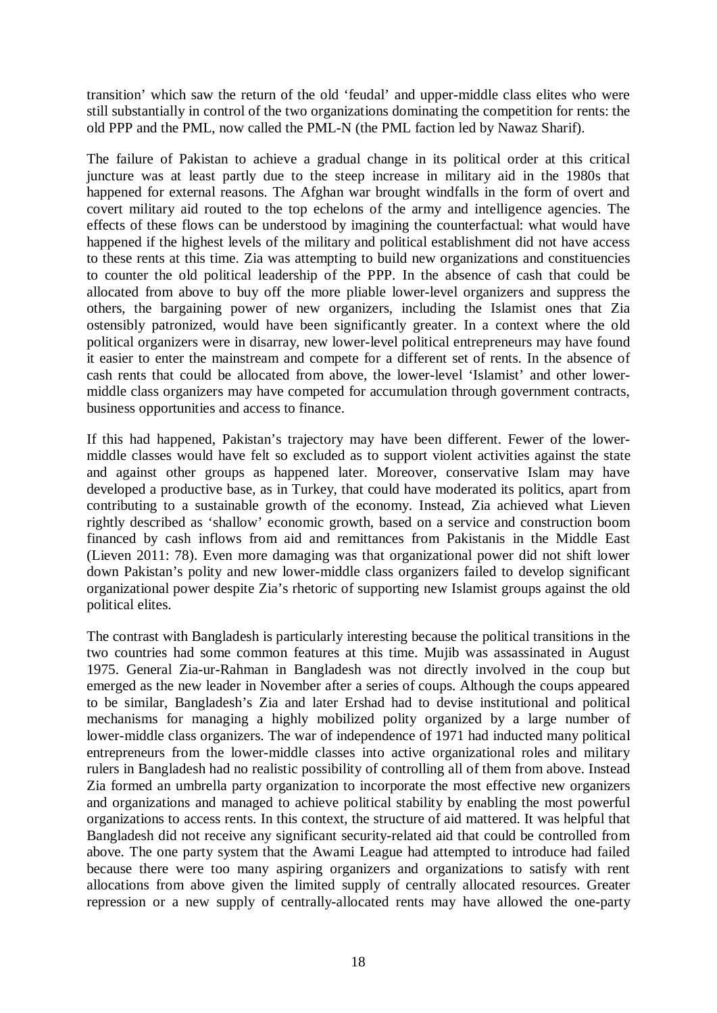transition' which saw the return of the old 'feudal' and upper-middle class elites who were still substantially in control of the two organizations dominating the competition for rents: the old PPP and the PML, now called the PML-N (the PML faction led by Nawaz Sharif).

The failure of Pakistan to achieve a gradual change in its political order at this critical juncture was at least partly due to the steep increase in military aid in the 1980s that happened for external reasons. The Afghan war brought windfalls in the form of overt and covert military aid routed to the top echelons of the army and intelligence agencies. The effects of these flows can be understood by imagining the counterfactual: what would have happened if the highest levels of the military and political establishment did not have access to these rents at this time. Zia was attempting to build new organizations and constituencies to counter the old political leadership of the PPP. In the absence of cash that could be allocated from above to buy off the more pliable lower-level organizers and suppress the others, the bargaining power of new organizers, including the Islamist ones that Zia ostensibly patronized, would have been significantly greater. In a context where the old political organizers were in disarray, new lower-level political entrepreneurs may have found it easier to enter the mainstream and compete for a different set of rents. In the absence of cash rents that could be allocated from above, the lower-level 'Islamist' and other lowermiddle class organizers may have competed for accumulation through government contracts, business opportunities and access to finance.

If this had happened, Pakistan's trajectory may have been different. Fewer of the lowermiddle classes would have felt so excluded as to support violent activities against the state and against other groups as happened later. Moreover, conservative Islam may have developed a productive base, as in Turkey, that could have moderated its politics, apart from contributing to a sustainable growth of the economy. Instead, Zia achieved what Lieven rightly described as 'shallow' economic growth, based on a service and construction boom financed by cash inflows from aid and remittances from Pakistanis in the Middle East (Lieven 2011: 78). Even more damaging was that organizational power did not shift lower down Pakistan's polity and new lower-middle class organizers failed to develop significant organizational power despite Zia's rhetoric of supporting new Islamist groups against the old political elites.

The contrast with Bangladesh is particularly interesting because the political transitions in the two countries had some common features at this time. Mujib was assassinated in August 1975. General Zia-ur-Rahman in Bangladesh was not directly involved in the coup but emerged as the new leader in November after a series of coups. Although the coups appeared to be similar, Bangladesh's Zia and later Ershad had to devise institutional and political mechanisms for managing a highly mobilized polity organized by a large number of lower-middle class organizers. The war of independence of 1971 had inducted many political entrepreneurs from the lower-middle classes into active organizational roles and military rulers in Bangladesh had no realistic possibility of controlling all of them from above. Instead Zia formed an umbrella party organization to incorporate the most effective new organizers and organizations and managed to achieve political stability by enabling the most powerful organizations to access rents. In this context, the structure of aid mattered. It was helpful that Bangladesh did not receive any significant security-related aid that could be controlled from above. The one party system that the Awami League had attempted to introduce had failed because there were too many aspiring organizers and organizations to satisfy with rent allocations from above given the limited supply of centrally allocated resources. Greater repression or a new supply of centrally-allocated rents may have allowed the one-party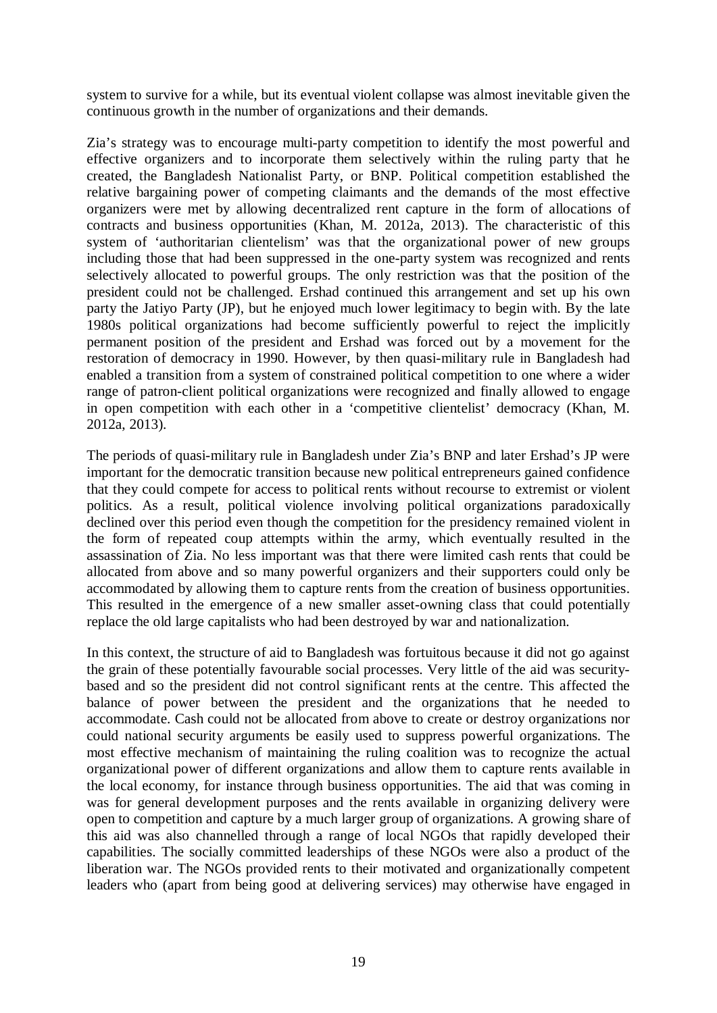system to survive for a while, but its eventual violent collapse was almost inevitable given the continuous growth in the number of organizations and their demands.

Zia's strategy was to encourage multi-party competition to identify the most powerful and effective organizers and to incorporate them selectively within the ruling party that he created, the Bangladesh Nationalist Party, or BNP. Political competition established the relative bargaining power of competing claimants and the demands of the most effective organizers were met by allowing decentralized rent capture in the form of allocations of contracts and business opportunities (Khan, M. 2012a, 2013). The characteristic of this system of 'authoritarian clientelism' was that the organizational power of new groups including those that had been suppressed in the one-party system was recognized and rents selectively allocated to powerful groups. The only restriction was that the position of the president could not be challenged. Ershad continued this arrangement and set up his own party the Jatiyo Party (JP), but he enjoyed much lower legitimacy to begin with. By the late 1980s political organizations had become sufficiently powerful to reject the implicitly permanent position of the president and Ershad was forced out by a movement for the restoration of democracy in 1990. However, by then quasi-military rule in Bangladesh had enabled a transition from a system of constrained political competition to one where a wider range of patron-client political organizations were recognized and finally allowed to engage in open competition with each other in a 'competitive clientelist' democracy (Khan, M. 2012a, 2013).

The periods of quasi-military rule in Bangladesh under Zia's BNP and later Ershad's JP were important for the democratic transition because new political entrepreneurs gained confidence that they could compete for access to political rents without recourse to extremist or violent politics. As a result, political violence involving political organizations paradoxically declined over this period even though the competition for the presidency remained violent in the form of repeated coup attempts within the army, which eventually resulted in the assassination of Zia. No less important was that there were limited cash rents that could be allocated from above and so many powerful organizers and their supporters could only be accommodated by allowing them to capture rents from the creation of business opportunities. This resulted in the emergence of a new smaller asset-owning class that could potentially replace the old large capitalists who had been destroyed by war and nationalization.

In this context, the structure of aid to Bangladesh was fortuitous because it did not go against the grain of these potentially favourable social processes. Very little of the aid was securitybased and so the president did not control significant rents at the centre. This affected the balance of power between the president and the organizations that he needed to accommodate. Cash could not be allocated from above to create or destroy organizations nor could national security arguments be easily used to suppress powerful organizations. The most effective mechanism of maintaining the ruling coalition was to recognize the actual organizational power of different organizations and allow them to capture rents available in the local economy, for instance through business opportunities. The aid that was coming in was for general development purposes and the rents available in organizing delivery were open to competition and capture by a much larger group of organizations. A growing share of this aid was also channelled through a range of local NGOs that rapidly developed their capabilities. The socially committed leaderships of these NGOs were also a product of the liberation war. The NGOs provided rents to their motivated and organizationally competent leaders who (apart from being good at delivering services) may otherwise have engaged in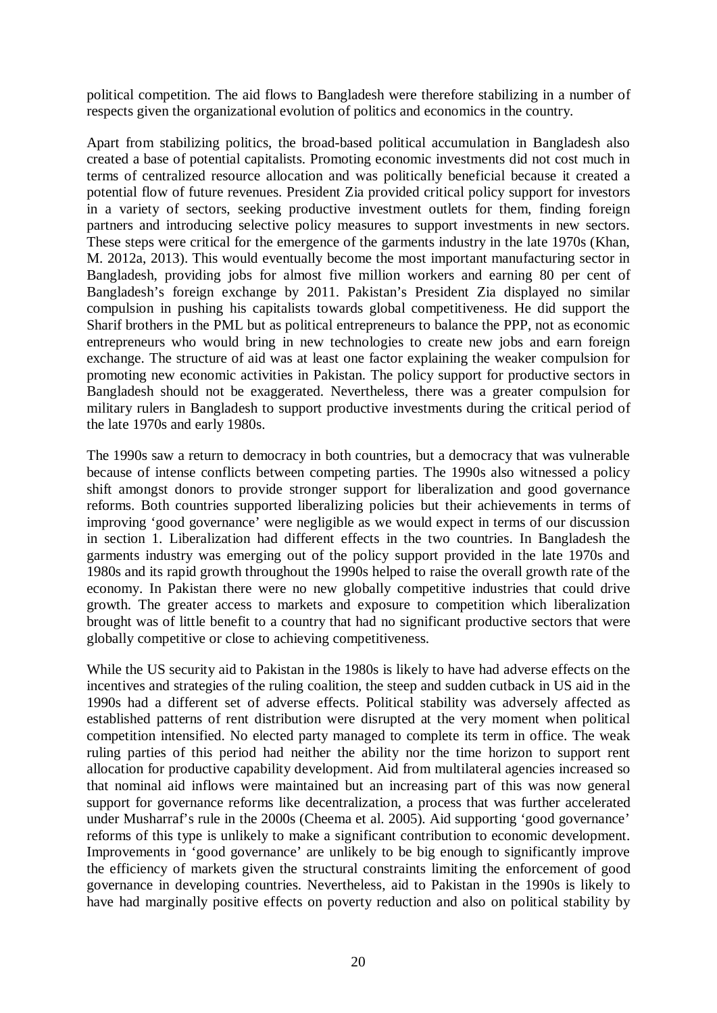political competition. The aid flows to Bangladesh were therefore stabilizing in a number of respects given the organizational evolution of politics and economics in the country.

Apart from stabilizing politics, the broad-based political accumulation in Bangladesh also created a base of potential capitalists. Promoting economic investments did not cost much in terms of centralized resource allocation and was politically beneficial because it created a potential flow of future revenues. President Zia provided critical policy support for investors in a variety of sectors, seeking productive investment outlets for them, finding foreign partners and introducing selective policy measures to support investments in new sectors. These steps were critical for the emergence of the garments industry in the late 1970s (Khan, M. 2012a, 2013). This would eventually become the most important manufacturing sector in Bangladesh, providing jobs for almost five million workers and earning 80 per cent of Bangladesh's foreign exchange by 2011. Pakistan's President Zia displayed no similar compulsion in pushing his capitalists towards global competitiveness. He did support the Sharif brothers in the PML but as political entrepreneurs to balance the PPP, not as economic entrepreneurs who would bring in new technologies to create new jobs and earn foreign exchange. The structure of aid was at least one factor explaining the weaker compulsion for promoting new economic activities in Pakistan. The policy support for productive sectors in Bangladesh should not be exaggerated. Nevertheless, there was a greater compulsion for military rulers in Bangladesh to support productive investments during the critical period of the late 1970s and early 1980s.

The 1990s saw a return to democracy in both countries, but a democracy that was vulnerable because of intense conflicts between competing parties. The 1990s also witnessed a policy shift amongst donors to provide stronger support for liberalization and good governance reforms. Both countries supported liberalizing policies but their achievements in terms of improving 'good governance' were negligible as we would expect in terms of our discussion in section 1. Liberalization had different effects in the two countries. In Bangladesh the garments industry was emerging out of the policy support provided in the late 1970s and 1980s and its rapid growth throughout the 1990s helped to raise the overall growth rate of the economy. In Pakistan there were no new globally competitive industries that could drive growth. The greater access to markets and exposure to competition which liberalization brought was of little benefit to a country that had no significant productive sectors that were globally competitive or close to achieving competitiveness.

While the US security aid to Pakistan in the 1980s is likely to have had adverse effects on the incentives and strategies of the ruling coalition, the steep and sudden cutback in US aid in the 1990s had a different set of adverse effects. Political stability was adversely affected as established patterns of rent distribution were disrupted at the very moment when political competition intensified. No elected party managed to complete its term in office. The weak ruling parties of this period had neither the ability nor the time horizon to support rent allocation for productive capability development. Aid from multilateral agencies increased so that nominal aid inflows were maintained but an increasing part of this was now general support for governance reforms like decentralization, a process that was further accelerated under Musharraf's rule in the 2000s (Cheema et al. 2005). Aid supporting 'good governance' reforms of this type is unlikely to make a significant contribution to economic development. Improvements in 'good governance' are unlikely to be big enough to significantly improve the efficiency of markets given the structural constraints limiting the enforcement of good governance in developing countries. Nevertheless, aid to Pakistan in the 1990s is likely to have had marginally positive effects on poverty reduction and also on political stability by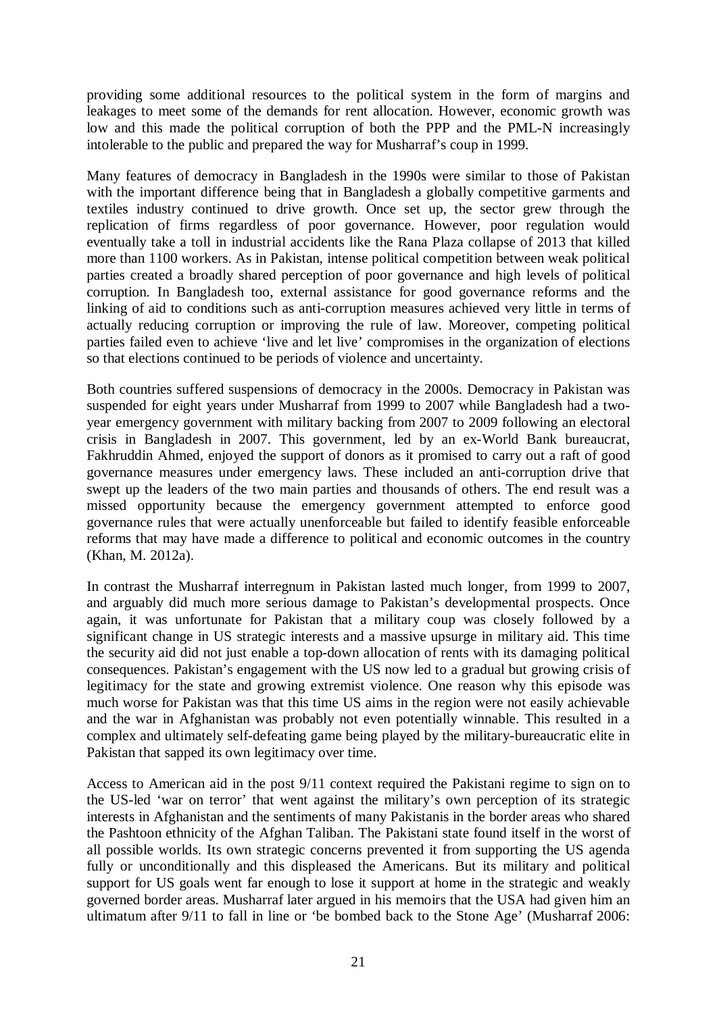providing some additional resources to the political system in the form of margins and leakages to meet some of the demands for rent allocation. However, economic growth was low and this made the political corruption of both the PPP and the PML-N increasingly intolerable to the public and prepared the way for Musharraf's coup in 1999.

Many features of democracy in Bangladesh in the 1990s were similar to those of Pakistan with the important difference being that in Bangladesh a globally competitive garments and textiles industry continued to drive growth. Once set up, the sector grew through the replication of firms regardless of poor governance. However, poor regulation would eventually take a toll in industrial accidents like the Rana Plaza collapse of 2013 that killed more than 1100 workers. As in Pakistan, intense political competition between weak political parties created a broadly shared perception of poor governance and high levels of political corruption. In Bangladesh too, external assistance for good governance reforms and the linking of aid to conditions such as anti-corruption measures achieved very little in terms of actually reducing corruption or improving the rule of law. Moreover, competing political parties failed even to achieve 'live and let live' compromises in the organization of elections so that elections continued to be periods of violence and uncertainty.

Both countries suffered suspensions of democracy in the 2000s. Democracy in Pakistan was suspended for eight years under Musharraf from 1999 to 2007 while Bangladesh had a twoyear emergency government with military backing from 2007 to 2009 following an electoral crisis in Bangladesh in 2007. This government, led by an ex-World Bank bureaucrat, Fakhruddin Ahmed, enjoyed the support of donors as it promised to carry out a raft of good governance measures under emergency laws. These included an anti-corruption drive that swept up the leaders of the two main parties and thousands of others. The end result was a missed opportunity because the emergency government attempted to enforce good governance rules that were actually unenforceable but failed to identify feasible enforceable reforms that may have made a difference to political and economic outcomes in the country (Khan, M. 2012a).

In contrast the Musharraf interregnum in Pakistan lasted much longer, from 1999 to 2007, and arguably did much more serious damage to Pakistan's developmental prospects. Once again, it was unfortunate for Pakistan that a military coup was closely followed by a significant change in US strategic interests and a massive upsurge in military aid. This time the security aid did not just enable a top-down allocation of rents with its damaging political consequences. Pakistan's engagement with the US now led to a gradual but growing crisis of legitimacy for the state and growing extremist violence. One reason why this episode was much worse for Pakistan was that this time US aims in the region were not easily achievable and the war in Afghanistan was probably not even potentially winnable. This resulted in a complex and ultimately self-defeating game being played by the military-bureaucratic elite in Pakistan that sapped its own legitimacy over time.

Access to American aid in the post 9/11 context required the Pakistani regime to sign on to the US-led 'war on terror' that went against the military's own perception of its strategic interests in Afghanistan and the sentiments of many Pakistanis in the border areas who shared the Pashtoon ethnicity of the Afghan Taliban. The Pakistani state found itself in the worst of all possible worlds. Its own strategic concerns prevented it from supporting the US agenda fully or unconditionally and this displeased the Americans. But its military and political support for US goals went far enough to lose it support at home in the strategic and weakly governed border areas. Musharraf later argued in his memoirs that the USA had given him an ultimatum after 9/11 to fall in line or 'be bombed back to the Stone Age' (Musharraf 2006: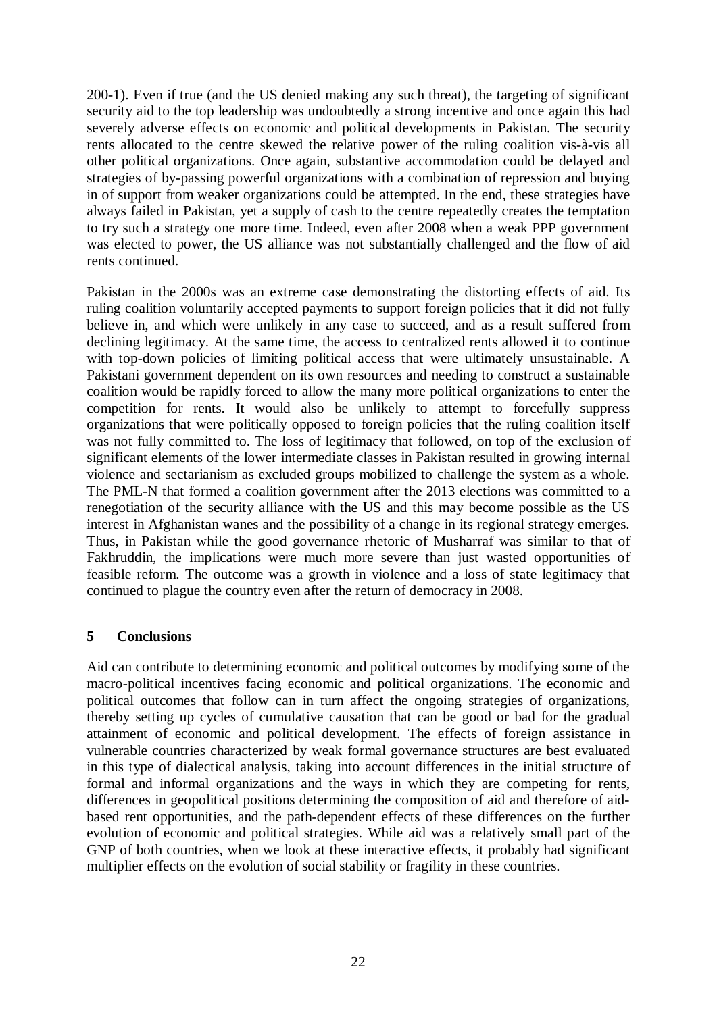200-1). Even if true (and the US denied making any such threat), the targeting of significant security aid to the top leadership was undoubtedly a strong incentive and once again this had severely adverse effects on economic and political developments in Pakistan. The security rents allocated to the centre skewed the relative power of the ruling coalition vis-à-vis all other political organizations. Once again, substantive accommodation could be delayed and strategies of by-passing powerful organizations with a combination of repression and buying in of support from weaker organizations could be attempted. In the end, these strategies have always failed in Pakistan, yet a supply of cash to the centre repeatedly creates the temptation to try such a strategy one more time. Indeed, even after 2008 when a weak PPP government was elected to power, the US alliance was not substantially challenged and the flow of aid rents continued.

Pakistan in the 2000s was an extreme case demonstrating the distorting effects of aid. Its ruling coalition voluntarily accepted payments to support foreign policies that it did not fully believe in, and which were unlikely in any case to succeed, and as a result suffered from declining legitimacy. At the same time, the access to centralized rents allowed it to continue with top-down policies of limiting political access that were ultimately unsustainable. A Pakistani government dependent on its own resources and needing to construct a sustainable coalition would be rapidly forced to allow the many more political organizations to enter the competition for rents. It would also be unlikely to attempt to forcefully suppress organizations that were politically opposed to foreign policies that the ruling coalition itself was not fully committed to. The loss of legitimacy that followed, on top of the exclusion of significant elements of the lower intermediate classes in Pakistan resulted in growing internal violence and sectarianism as excluded groups mobilized to challenge the system as a whole. The PML-N that formed a coalition government after the 2013 elections was committed to a renegotiation of the security alliance with the US and this may become possible as the US interest in Afghanistan wanes and the possibility of a change in its regional strategy emerges. Thus, in Pakistan while the good governance rhetoric of Musharraf was similar to that of Fakhruddin, the implications were much more severe than just wasted opportunities of feasible reform. The outcome was a growth in violence and a loss of state legitimacy that continued to plague the country even after the return of democracy in 2008.

## **5 Conclusions**

Aid can contribute to determining economic and political outcomes by modifying some of the macro-political incentives facing economic and political organizations. The economic and political outcomes that follow can in turn affect the ongoing strategies of organizations, thereby setting up cycles of cumulative causation that can be good or bad for the gradual attainment of economic and political development. The effects of foreign assistance in vulnerable countries characterized by weak formal governance structures are best evaluated in this type of dialectical analysis, taking into account differences in the initial structure of formal and informal organizations and the ways in which they are competing for rents, differences in geopolitical positions determining the composition of aid and therefore of aidbased rent opportunities, and the path-dependent effects of these differences on the further evolution of economic and political strategies. While aid was a relatively small part of the GNP of both countries, when we look at these interactive effects, it probably had significant multiplier effects on the evolution of social stability or fragility in these countries.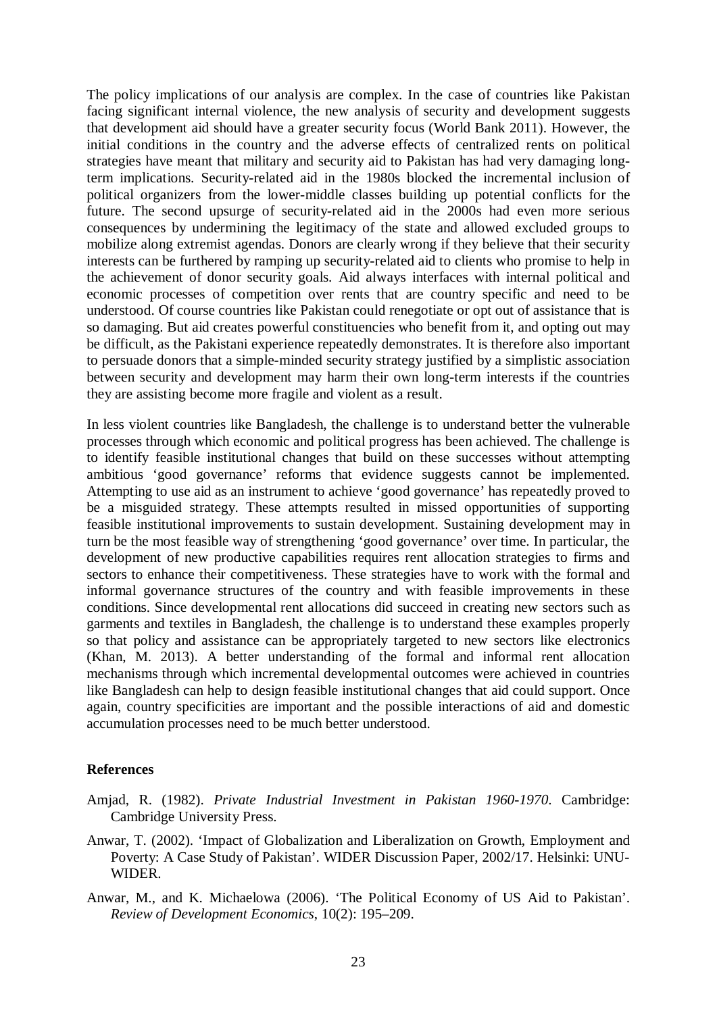The policy implications of our analysis are complex. In the case of countries like Pakistan facing significant internal violence, the new analysis of security and development suggests that development aid should have a greater security focus (World Bank 2011). However, the initial conditions in the country and the adverse effects of centralized rents on political strategies have meant that military and security aid to Pakistan has had very damaging longterm implications. Security-related aid in the 1980s blocked the incremental inclusion of political organizers from the lower-middle classes building up potential conflicts for the future. The second upsurge of security-related aid in the 2000s had even more serious consequences by undermining the legitimacy of the state and allowed excluded groups to mobilize along extremist agendas. Donors are clearly wrong if they believe that their security interests can be furthered by ramping up security-related aid to clients who promise to help in the achievement of donor security goals. Aid always interfaces with internal political and economic processes of competition over rents that are country specific and need to be understood. Of course countries like Pakistan could renegotiate or opt out of assistance that is so damaging. But aid creates powerful constituencies who benefit from it, and opting out may be difficult, as the Pakistani experience repeatedly demonstrates. It is therefore also important to persuade donors that a simple-minded security strategy justified by a simplistic association between security and development may harm their own long-term interests if the countries they are assisting become more fragile and violent as a result.

In less violent countries like Bangladesh, the challenge is to understand better the vulnerable processes through which economic and political progress has been achieved. The challenge is to identify feasible institutional changes that build on these successes without attempting ambitious 'good governance' reforms that evidence suggests cannot be implemented. Attempting to use aid as an instrument to achieve 'good governance' has repeatedly proved to be a misguided strategy. These attempts resulted in missed opportunities of supporting feasible institutional improvements to sustain development. Sustaining development may in turn be the most feasible way of strengthening 'good governance' over time. In particular, the development of new productive capabilities requires rent allocation strategies to firms and sectors to enhance their competitiveness. These strategies have to work with the formal and informal governance structures of the country and with feasible improvements in these conditions. Since developmental rent allocations did succeed in creating new sectors such as garments and textiles in Bangladesh, the challenge is to understand these examples properly so that policy and assistance can be appropriately targeted to new sectors like electronics (Khan, M. 2013). A better understanding of the formal and informal rent allocation mechanisms through which incremental developmental outcomes were achieved in countries like Bangladesh can help to design feasible institutional changes that aid could support. Once again, country specificities are important and the possible interactions of aid and domestic accumulation processes need to be much better understood.

## **References**

- Amjad, R. (1982). *Private Industrial Investment in Pakistan 1960-1970*. Cambridge: Cambridge University Press.
- Anwar, T. (2002). 'Impact of Globalization and Liberalization on Growth, Employment and Poverty: A Case Study of Pakistan'. WIDER Discussion Paper, 2002/17. Helsinki: UNU-WIDER.
- Anwar, M., and K. Michaelowa (2006). 'The Political Economy of US Aid to Pakistan'. *Review of Development Economics*, 10(2): 195–209.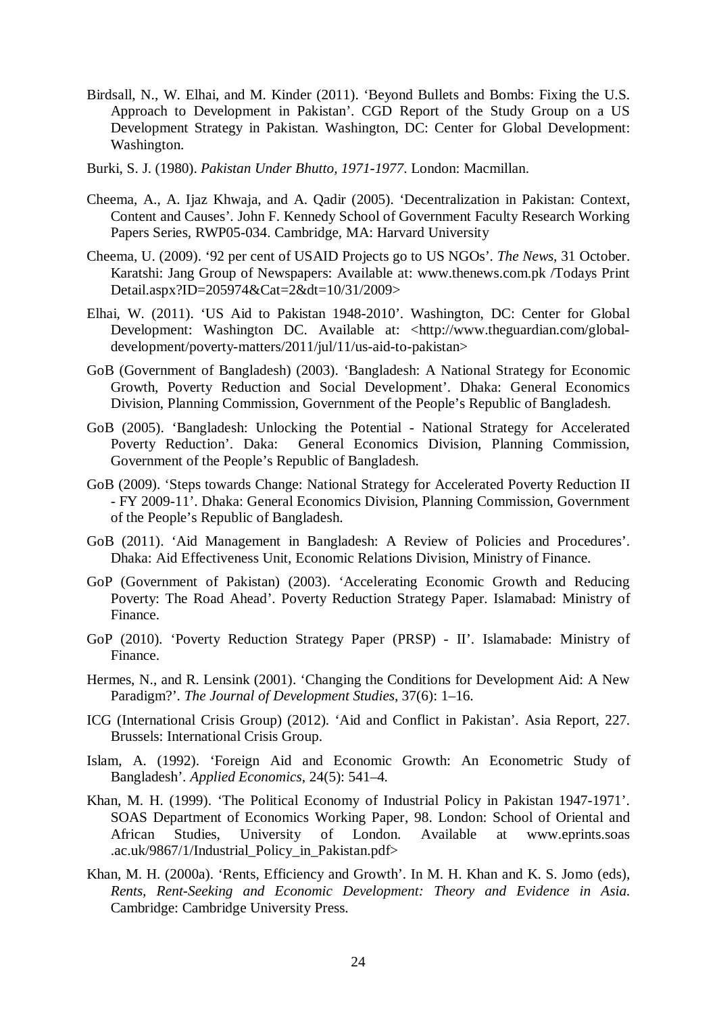- Birdsall, N., W. Elhai, and M. Kinder (2011). 'Beyond Bullets and Bombs: Fixing the U.S. Approach to Development in Pakistan'. CGD Report of the Study Group on a US Development Strategy in Pakistan. Washington, DC: Center for Global Development: Washington.
- Burki, S. J. (1980). *Pakistan Under Bhutto, 1971-1977*. London: Macmillan.
- Cheema, A., A. Ijaz Khwaja, and A. Qadir (2005). 'Decentralization in Pakistan: Context, Content and Causes'. John F. Kennedy School of Government Faculty Research Working Papers Series, RWP05-034. Cambridge, MA: Harvard University
- Cheema, U. (2009). '92 per cent of USAID Projects go to US NGOs'. *The News*, 31 October. Karatshi: Jang Group of Newspapers: Available at: www.thenews.com.pk /Todays Print Detail.aspx?ID=205974&Cat=2&dt=10/31/2009>
- Elhai, W. (2011). 'US Aid to Pakistan 1948-2010'. Washington, DC: Center for Global Development: Washington DC. Available at: <http://www.theguardian.com/globaldevelopment/poverty-matters/2011/jul/11/us-aid-to-pakistan>
- GoB (Government of Bangladesh) (2003). 'Bangladesh: A National Strategy for Economic Growth, Poverty Reduction and Social Development'. Dhaka: General Economics Division, Planning Commission, Government of the People's Republic of Bangladesh.
- GoB (2005). 'Bangladesh: Unlocking the Potential National Strategy for Accelerated Poverty Reduction'. Daka: General Economics Division, Planning Commission, Government of the People's Republic of Bangladesh.
- GoB (2009). 'Steps towards Change: National Strategy for Accelerated Poverty Reduction II - FY 2009-11'. Dhaka: General Economics Division, Planning Commission, Government of the People's Republic of Bangladesh.
- GoB (2011). 'Aid Management in Bangladesh: A Review of Policies and Procedures'. Dhaka: Aid Effectiveness Unit, Economic Relations Division, Ministry of Finance.
- GoP (Government of Pakistan) (2003). 'Accelerating Economic Growth and Reducing Poverty: The Road Ahead'. Poverty Reduction Strategy Paper. Islamabad: Ministry of Finance.
- GoP (2010). 'Poverty Reduction Strategy Paper (PRSP) II'. Islamabade: Ministry of Finance.
- Hermes, N., and R. Lensink (2001). 'Changing the Conditions for Development Aid: A New Paradigm?'. *The Journal of Development Studies*, 37(6): 1–16.
- ICG (International Crisis Group) (2012). 'Aid and Conflict in Pakistan'. Asia Report, 227. Brussels: International Crisis Group.
- Islam, A. (1992). 'Foreign Aid and Economic Growth: An Econometric Study of Bangladesh'. *Applied Economics*, 24(5): 541–4.
- Khan, M. H. (1999). 'The Political Economy of Industrial Policy in Pakistan 1947-1971'. SOAS Department of Economics Working Paper, 98. London: School of Oriental and African Studies, University of London. Available at www.eprints.soas .ac.uk/9867/1/Industrial\_Policy\_in\_Pakistan.pdf>
- Khan, M. H. (2000a). 'Rents, Efficiency and Growth'. In M. H. Khan and K. S. Jomo (eds), *Rents, Rent-Seeking and Economic Development: Theory and Evidence in Asia*. Cambridge: Cambridge University Press.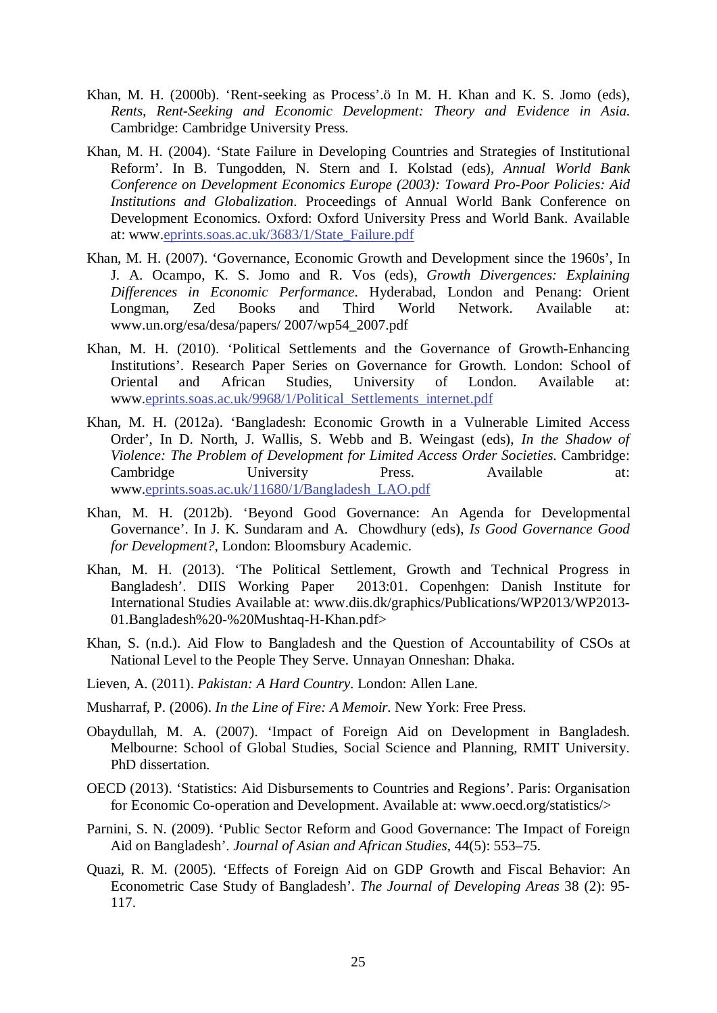- Khan, M. H. (2000b). 'Rent-seeking as Process'.ö In M. H. Khan and K. S. Jomo (eds), *Rents, Rent-Seeking and Economic Development: Theory and Evidence in Asia*. Cambridge: Cambridge University Press.
- Khan, M. H. (2004). 'State Failure in Developing Countries and Strategies of Institutional Reform'. In B. Tungodden, N. Stern and I. Kolstad (eds), *Annual World Bank Conference on Development Economics Europe (2003): Toward Pro-Poor Policies: Aid Institutions and Globalization*. Proceedings of Annual World Bank Conference on Development Economics. Oxford: Oxford University Press and World Bank. Available at: www.eprints.soas.ac.uk/3683/1/State\_Failure.pdf
- Khan, M. H. (2007). 'Governance, Economic Growth and Development since the 1960s', In J. A. Ocampo, K. S. Jomo and R. Vos (eds), *Growth Divergences: Explaining Differences in Economic Performance*. Hyderabad, London and Penang: Orient Longman, Zed Books and Third World Network. Available at: www.un.org/esa/desa/papers/ 2007/wp54\_2007.pdf
- Khan, M. H. (2010). 'Political Settlements and the Governance of Growth-Enhancing Institutions'. Research Paper Series on Governance for Growth. London: School of Oriental and African Studies, University of London. Available at: www.eprints.soas.ac.uk/9968/1/Political\_Settlements\_internet.pdf
- Khan, M. H. (2012a). 'Bangladesh: Economic Growth in a Vulnerable Limited Access Order', In D. North, J. Wallis, S. Webb and B. Weingast (eds), *In the Shadow of Violence: The Problem of Development for Limited Access Order Societies*. Cambridge: Cambridge University Press. Available at: www.eprints.soas.ac.uk/11680/1/Bangladesh\_LAO.pdf
- Khan, M. H. (2012b). 'Beyond Good Governance: An Agenda for Developmental Governance'. In J. K. Sundaram and A. Chowdhury (eds), *Is Good Governance Good for Development?*, London: Bloomsbury Academic.
- Khan, M. H. (2013). 'The Political Settlement, Growth and Technical Progress in Bangladesh'. DIIS Working Paper 2013:01. Copenheen: Danish Institute for 2013:01. Copenhgen: Danish Institute for International Studies Available at: www.diis.dk/graphics/Publications/WP2013/WP2013- 01.Bangladesh%20-%20Mushtaq-H-Khan.pdf>
- Khan, S. (n.d.). Aid Flow to Bangladesh and the Question of Accountability of CSOs at National Level to the People They Serve. Unnayan Onneshan: Dhaka.
- Lieven, A. (2011). *Pakistan: A Hard Country*. London: Allen Lane.
- Musharraf, P. (2006). *In the Line of Fire: A Memoir*. New York: Free Press.
- Obaydullah, M. A. (2007). 'Impact of Foreign Aid on Development in Bangladesh. Melbourne: School of Global Studies, Social Science and Planning, RMIT University. PhD dissertation.
- OECD (2013). 'Statistics: Aid Disbursements to Countries and Regions'. Paris: Organisation for Economic Co-operation and Development. Available at: www.oecd.org/statistics/>
- Parnini, S. N. (2009). 'Public Sector Reform and Good Governance: The Impact of Foreign Aid on Bangladesh'. *Journal of Asian and African Studies*, 44(5): 553–75.
- Quazi, R. M. (2005). 'Effects of Foreign Aid on GDP Growth and Fiscal Behavior: An Econometric Case Study of Bangladesh'. *The Journal of Developing Areas* 38 (2): 95- 117.